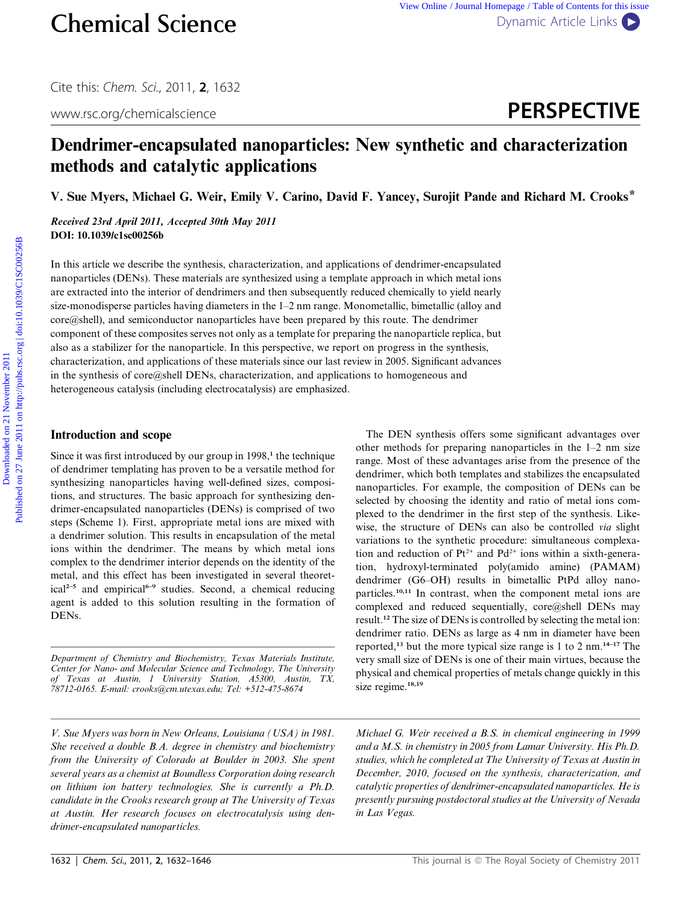Cite this: Chem. Sci., 2011, <sup>2</sup>, 1632



# Dendrimer-encapsulated nanoparticles: New synthetic and characterization methods and catalytic applications

V. Sue Myers, Michael G. Weir, Emily V. Carino, David F. Yancey, Surojit Pande and Richard M. Crooks\*

Received 23rd April 2011, Accepted 30th May 2011 DOI: 10.1039/c1sc00256b

In this article we describe the synthesis, characterization, and applications of dendrimer-encapsulated nanoparticles (DENs). These materials are synthesized using a template approach in which metal ions are extracted into the interior of dendrimers and then subsequently reduced chemically to yield nearly size-monodisperse particles having diameters in the 1–2 nm range. Monometallic, bimetallic (alloy and core@shell), and semiconductor nanoparticles have been prepared by this route. The dendrimer component of these composites serves not only as a template for preparing the nanoparticle replica, but also as a stabilizer for the nanoparticle. In this perspective, we report on progress in the synthesis, characterization, and applications of these materials since our last review in 2005. Significant advances in the synthesis of core@shell DENs, characterization, and applications to homogeneous and heterogeneous catalysis (including electrocatalysis) are emphasized. **Chemical Science**<br>
Cite this *Chem.* 56, 2011, **2**, 1632<br>
www.rsc.org/chemicalscience<br> **Dendrimer-encapsulated nanoparticles:** New synthetic and characterization<br> **Dendrimer-encapsulated nanoparticles:** New synthetic and

# Introduction and scope

Since it was first introduced by our group in  $1998$ ,<sup>1</sup> the technique of dendrimer templating has proven to be a versatile method for synthesizing nanoparticles having well-defined sizes, compositions, and structures. The basic approach for synthesizing dendrimer-encapsulated nanoparticles (DENs) is comprised of two steps (Scheme 1). First, appropriate metal ions are mixed with a dendrimer solution. This results in encapsulation of the metal ions within the dendrimer. The means by which metal ions complex to the dendrimer interior depends on the identity of the metal, and this effect has been investigated in several theoretical<sup>2-5</sup> and empirical<sup>6-9</sup> studies. Second, a chemical reducing agent is added to this solution resulting in the formation of DENs.

The DEN synthesis offers some significant advantages over other methods for preparing nanoparticles in the 1–2 nm size range. Most of these advantages arise from the presence of the dendrimer, which both templates and stabilizes the encapsulated nanoparticles. For example, the composition of DENs can be selected by choosing the identity and ratio of metal ions complexed to the dendrimer in the first step of the synthesis. Likewise, the structure of DENs can also be controlled via slight variations to the synthetic procedure: simultaneous complexation and reduction of  $Pt^{2+}$  and  $Pd^{2+}$  ions within a sixth-generation, hydroxyl-terminated poly(amido amine) (PAMAM) dendrimer (G6–OH) results in bimetallic PtPd alloy nanoparticles.10,11 In contrast, when the component metal ions are complexed and reduced sequentially, core@shell DENs may result.<sup>12</sup> The size of DENs is controlled by selecting the metal ion: dendrimer ratio. DENs as large as 4 nm in diameter have been reported,<sup>13</sup> but the more typical size range is 1 to 2 nm.14–17 The very small size of DENs is one of their main virtues, because the physical and chemical properties of metals change quickly in this size regime.<sup>18,19</sup>

V. Sue Myers was born in New Orleans, Louisiana (USA) in 1981. She received a double B.A. degree in chemistry and biochemistry from the University of Colorado at Boulder in 2003. She spent several years as a chemist at Boundless Corporation doing research on lithium ion battery technologies. She is currently a Ph.D. candidate in the Crooks research group at The University of Texas at Austin. Her research focuses on electrocatalysis using dendrimer-encapsulated nanoparticles.

Michael G. Weir received a B.S. in chemical engineering in 1999 and a M.S. in chemistry in 2005 from Lamar University. His Ph.D. studies, which he completed at The University of Texas at Austin in December, 2010, focused on the synthesis, characterization, and catalytic properties of dendrimer-encapsulated nanoparticles. He is presently pursuing postdoctoral studies at the University of Nevada in Las Vegas.

Department of Chemistry and Biochemistry, Texas Materials Institute, Center for Nano- and Molecular Science and Technology, The University of Texas at Austin, 1 University Station, A5300, Austin, TX, 78712-0165. E-mail: crooks@cm.utexas.edu; Tel: +512-475-8674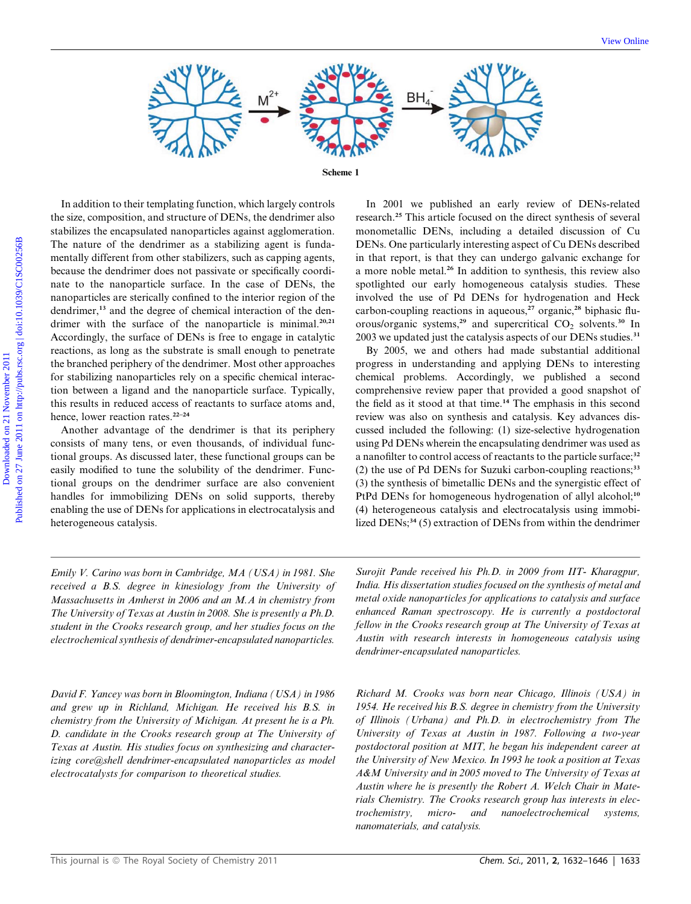

In addition to their templating function, which largely controls the size, composition, and structure of DENs, the dendrimer also stabilizes the encapsulated nanoparticles against agglomeration. The nature of the dendrimer as a stabilizing agent is fundamentally different from other stabilizers, such as capping agents, because the dendrimer does not passivate or specifically coordinate to the nanoparticle surface. In the case of DENs, the nanoparticles are sterically confined to the interior region of the dendrimer,<sup>13</sup> and the degree of chemical interaction of the dendrimer with the surface of the nanoparticle is minimal.<sup>20,21</sup> Accordingly, the surface of DENs is free to engage in catalytic reactions, as long as the substrate is small enough to penetrate the branched periphery of the dendrimer. Most other approaches for stabilizing nanoparticles rely on a specific chemical interaction between a ligand and the nanoparticle surface. Typically, this results in reduced access of reactants to surface atoms and, hence, lower reaction rates.<sup>22–24</sup> This continue of DEN is the tomonomic and the maximized on 21 November 2011 on the state of 21 November 2011 on the state of 21 November 2011 on the state of 21 November 2011 on the state of 2011 of 2011 on the state of 20

Another advantage of the dendrimer is that its periphery consists of many tens, or even thousands, of individual functional groups. As discussed later, these functional groups can be easily modified to tune the solubility of the dendrimer. Functional groups on the dendrimer surface are also convenient handles for immobilizing DENs on solid supports, thereby enabling the use of DENs for applications in electrocatalysis and heterogeneous catalysis.

In 2001 we published an early review of DENs-related research.<sup>25</sup> This article focused on the direct synthesis of several monometallic DENs, including a detailed discussion of Cu DENs. One particularly interesting aspect of Cu DENs described in that report, is that they can undergo galvanic exchange for a more noble metal.<sup>26</sup> In addition to synthesis, this review also spotlighted our early homogeneous catalysis studies. These involved the use of Pd DENs for hydrogenation and Heck carbon-coupling reactions in aqueous, $27$  organic, $28$  biphasic fluorous/organic systems,<sup>29</sup> and supercritical  $CO_2$  solvents.<sup>30</sup> In 2003 we updated just the catalysis aspects of our DENs studies.<sup>31</sup>

By 2005, we and others had made substantial additional progress in understanding and applying DENs to interesting chemical problems. Accordingly, we published a second comprehensive review paper that provided a good snapshot of the field as it stood at that time.<sup>14</sup> The emphasis in this second review was also on synthesis and catalysis. Key advances discussed included the following: (1) size-selective hydrogenation using Pd DENs wherein the encapsulating dendrimer was used as a nanofilter to control access of reactants to the particle surface;<sup>32</sup> (2) the use of Pd DENs for Suzuki carbon-coupling reactions;<sup>33</sup> (3) the synthesis of bimetallic DENs and the synergistic effect of PtPd DENs for homogeneous hydrogenation of allyl alcohol;<sup>10</sup> (4) heterogeneous catalysis and electrocatalysis using immobilized DENs;<sup>34</sup> (5) extraction of DENs from within the dendrimer

Emily V. Carino was born in Cambridge, MA (USA) in 1981. She received a B.S. degree in kinesiology from the University of Massachusetts in Amherst in 2006 and an M.A in chemistry from The University of Texas at Austin in 2008. She is presently a Ph.D. student in the Crooks research group, and her studies focus on the electrochemical synthesis of dendrimer-encapsulated nanoparticles.

David F. Yancey was born in Bloomington, Indiana (USA) in 1986 and grew up in Richland, Michigan. He received his B.S. in chemistry from the University of Michigan. At present he is a Ph. D. candidate in the Crooks research group at The University of Texas at Austin. His studies focus on synthesizing and characterizing core@shell dendrimer-encapsulated nanoparticles as model electrocatalysts for comparison to theoretical studies.

Surojit Pande received his Ph.D. in 2009 from IIT- Kharagpur, India. His dissertation studies focused on the synthesis of metal and metal oxide nanoparticles for applications to catalysis and surface enhanced Raman spectroscopy. He is currently a postdoctoral fellow in the Crooks research group at The University of Texas at Austin with research interests in homogeneous catalysis using dendrimer-encapsulated nanoparticles.

Richard M. Crooks was born near Chicago, Illinois (USA) in 1954. He received his B.S. degree in chemistry from the University of Illinois (Urbana) and Ph.D. in electrochemistry from The University of Texas at Austin in 1987. Following a two-year postdoctoral position at MIT, he began his independent career at the University of New Mexico. In 1993 he took a position at Texas A&M University and in 2005 moved to The University of Texas at Austin where he is presently the Robert A. Welch Chair in Materials Chemistry. The Crooks research group has interests in electrochemistry, micro- and nanoelectrochemical systems, nanomaterials, and catalysis.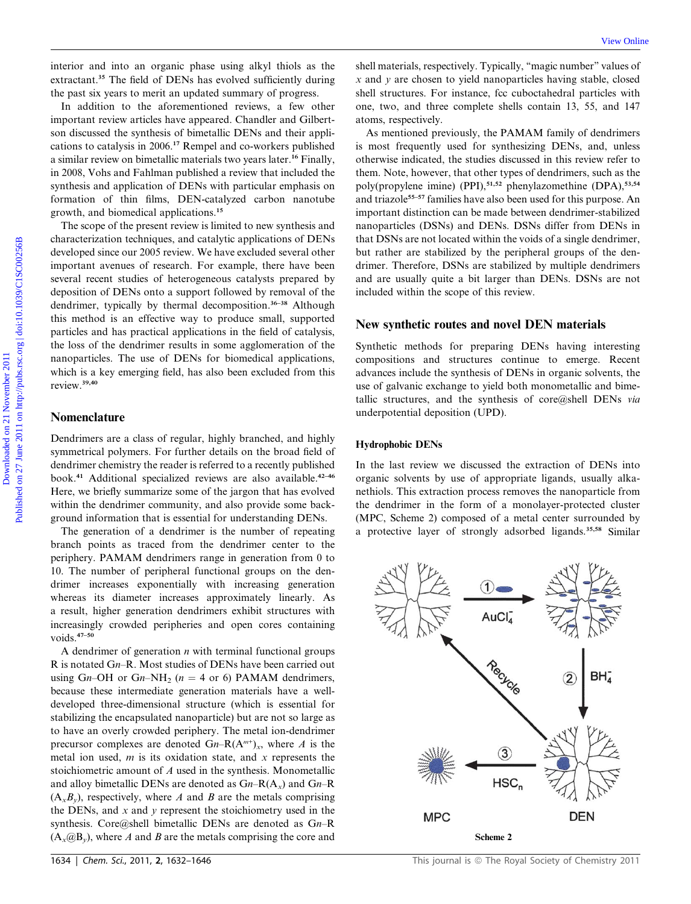interior and into an organic phase using alkyl thiols as the extractant.<sup>35</sup> The field of DENs has evolved sufficiently during the past six years to merit an updated summary of progress.

In addition to the aforementioned reviews, a few other important review articles have appeared. Chandler and Gilbertson discussed the synthesis of bimetallic DENs and their applications to catalysis in 2006.<sup>17</sup> Rempel and co-workers published a similar review on bimetallic materials two years later.<sup>16</sup> Finally, in 2008, Vohs and Fahlman published a review that included the synthesis and application of DENs with particular emphasis on formation of thin films, DEN-catalyzed carbon nanotube growth, and biomedical applications.<sup>15</sup>

The scope of the present review is limited to new synthesis and characterization techniques, and catalytic applications of DENs developed since our 2005 review. We have excluded several other important avenues of research. For example, there have been several recent studies of heterogeneous catalysts prepared by deposition of DENs onto a support followed by removal of the dendrimer, typically by thermal decomposition.<sup>36-38</sup> Although this method is an effective way to produce small, supported particles and has practical applications in the field of catalysis, the loss of the dendrimer results in some agglomeration of the nanoparticles. The use of DENs for biomedical applications, which is a key emerging field, has also been excluded from this review.39,40 The metric and into an regaric phase since  $\mu$  Mohem and y as the solution of Published on 21 November 2012 on the animal of the plast interaction of the SN also consider the method on ENN also consider the method on the

# Nomenclature

Dendrimers are a class of regular, highly branched, and highly symmetrical polymers. For further details on the broad field of dendrimer chemistry the reader is referred to a recently published book.<sup>41</sup> Additional specialized reviews are also available.<sup>42–46</sup> Here, we briefly summarize some of the jargon that has evolved within the dendrimer community, and also provide some background information that is essential for understanding DENs.

The generation of a dendrimer is the number of repeating branch points as traced from the dendrimer center to the periphery. PAMAM dendrimers range in generation from 0 to 10. The number of peripheral functional groups on the dendrimer increases exponentially with increasing generation whereas its diameter increases approximately linearly. As a result, higher generation dendrimers exhibit structures with increasingly crowded peripheries and open cores containing voids.47–50

A dendrimer of generation  $n$  with terminal functional groups R is notated Gn–R. Most studies of DENs have been carried out using Gn–OH or Gn–NH<sub>2</sub> ( $n = 4$  or 6) PAMAM dendrimers, because these intermediate generation materials have a welldeveloped three-dimensional structure (which is essential for stabilizing the encapsulated nanoparticle) but are not so large as to have an overly crowded periphery. The metal ion-dendrimer precursor complexes are denoted  $G_n-R(A^{m+})_x$ , where A is the metal ion used,  $m$  is its oxidation state, and  $x$  represents the stoichiometric amount of A used in the synthesis. Monometallic and alloy bimetallic DENs are denoted as  $G_n-R(A_x)$  and  $G_n-R$  $(A_x, B_y)$ , respectively, where A and B are the metals comprising the DENs, and  $x$  and  $y$  represent the stoichiometry used in the synthesis. Core@shell bimetallic DENs are denoted as Gn-R  $(A_x \hat{\omega} B_y)$ , where A and B are the metals comprising the core and

shell materials, respectively. Typically, "magic number" values of  $x$  and  $y$  are chosen to yield nanoparticles having stable, closed shell structures. For instance, fcc cuboctahedral particles with one, two, and three complete shells contain 13, 55, and 147 atoms, respectively.

As mentioned previously, the PAMAM family of dendrimers is most frequently used for synthesizing DENs, and, unless otherwise indicated, the studies discussed in this review refer to them. Note, however, that other types of dendrimers, such as the poly(propylene imine) (PPI),<sup>51,52</sup> phenylazomethine (DPA),<sup>53,54</sup> and triazole<sup>55–57</sup> families have also been used for this purpose. An important distinction can be made between dendrimer-stabilized nanoparticles (DSNs) and DENs. DSNs differ from DENs in that DSNs are not located within the voids of a single dendrimer, but rather are stabilized by the peripheral groups of the dendrimer. Therefore, DSNs are stabilized by multiple dendrimers and are usually quite a bit larger than DENs. DSNs are not included within the scope of this review.

#### New synthetic routes and novel DEN materials

Synthetic methods for preparing DENs having interesting compositions and structures continue to emerge. Recent advances include the synthesis of DENs in organic solvents, the use of galvanic exchange to yield both monometallic and bimetallic structures, and the synthesis of core@shell DENs via underpotential deposition (UPD).

#### Hydrophobic DENs

In the last review we discussed the extraction of DENs into organic solvents by use of appropriate ligands, usually alkanethiols. This extraction process removes the nanoparticle from the dendrimer in the form of a monolayer-protected cluster (MPC, Scheme 2) composed of a metal center surrounded by a protective layer of strongly adsorbed ligands.<sup>35,58</sup> Similar

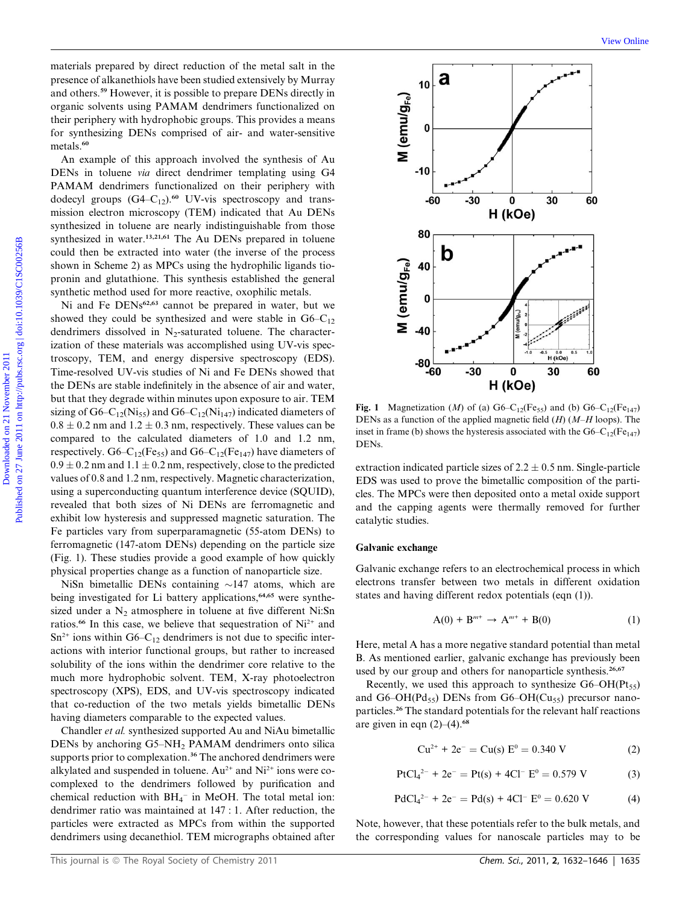materials prepared by direct reduction of the metal salt in the presence of alkanethiols have been studied extensively by Murray and others.<sup>59</sup> However, it is possible to prepare DENs directly in organic solvents using PAMAM dendrimers functionalized on their periphery with hydrophobic groups. This provides a means for synthesizing DENs comprised of air- and water-sensitive metals.<sup>60</sup>

An example of this approach involved the synthesis of Au DENs in toluene via direct dendrimer templating using G4 PAMAM dendrimers functionalized on their periphery with dodecyl groups  $(G4-C_{12})$ .<sup>60</sup> UV-vis spectroscopy and transmission electron microscopy (TEM) indicated that Au DENs synthesized in toluene are nearly indistinguishable from those synthesized in water.<sup>13,21,61</sup> The Au DENs prepared in toluene could then be extracted into water (the inverse of the process shown in Scheme 2) as MPCs using the hydrophilic ligands tiopronin and glutathione. This synthesis established the general synthetic method used for more reactive, oxophilic metals.

Ni and Fe DENs<sup>62,63</sup> cannot be prepared in water, but we showed they could be synthesized and were stable in  $G_0-C_{12}$ dendrimers dissolved in  $N_2$ -saturated toluene. The characterization of these materials was accomplished using UV-vis spectroscopy, TEM, and energy dispersive spectroscopy (EDS). Time-resolved UV-vis studies of Ni and Fe DENs showed that the DENs are stable indefinitely in the absence of air and water, but that they degrade within minutes upon exposure to air. TEM sizing of  $G6-C_{12}(Ni_{55})$  and  $G6-C_{12}(Ni_{147})$  indicated diameters of  $0.8 \pm 0.2$  nm and  $1.2 \pm 0.3$  nm, respectively. These values can be compared to the calculated diameters of 1.0 and 1.2 nm, respectively.  $G6-C_{12}(Fe_{55})$  and  $G6-C_{12}(Fe_{147})$  have diameters of  $0.9 \pm 0.2$  nm and  $1.1 \pm 0.2$  nm, respectively, close to the predicted values of 0.8 and 1.2 nm, respectively. Magnetic characterization, using a superconducting quantum interference device (SQUID), revealed that both sizes of Ni DENs are ferromagnetic and exhibit low hysteresis and suppressed magnetic saturation. The Fe particles vary from superparamagnetic (55-atom DENs) to ferromagnetic (147-atom DENs) depending on the particle size (Fig. 1). These studies provide a good example of how quickly physical properties change as a function of nanoparticle size.

NiSn bimetallic DENs containing  $\sim$ 147 atoms, which are being investigated for Li battery applications,<sup>64,65</sup> were synthesized under a  $N_2$  atmosphere in toluene at five different Ni:Sn ratios.<sup>66</sup> In this case, we believe that sequestration of  $Ni<sup>2+</sup>$  and  $Sn^{2+}$  ions within  $G_0-C_{12}$  dendrimers is not due to specific interactions with interior functional groups, but rather to increased solubility of the ions within the dendrimer core relative to the much more hydrophobic solvent. TEM, X-ray photoelectron spectroscopy (XPS), EDS, and UV-vis spectroscopy indicated that co-reduction of the two metals yields bimetallic DENs having diameters comparable to the expected values.

Chandler et al. synthesized supported Au and NiAu bimetallic DENs by anchoring  $G5-NH_2$  PAMAM dendrimers onto silica supports prior to complexation.<sup>36</sup> The anchored dendrimers were alkylated and suspended in toluene.  $Au^{2+}$  and  $Ni^{2+}$  ions were cocomplexed to the dendrimers followed by purification and chemical reduction with  $BH<sub>4</sub><sup>-</sup>$  in MeOH. The total metal ion: dendrimer ratio was maintained at 147 : 1. After reduction, the particles were extracted as MPCs from within the supported dendrimers using decanethiol. TEM micrographs obtained after



Fig. 1 Magnetization (*M*) of (a) G6–C<sub>12</sub>(Fe<sub>55</sub>) and (b) G6–C<sub>12</sub>(Fe<sub>147</sub>) DENs as a function of the applied magnetic field  $(H)$   $(M-H$  loops). The inset in frame (b) shows the hysteresis associated with the  $G6-C_{12}(Fe_{147})$ DENs.

extraction indicated particle sizes of  $2.2 \pm 0.5$  nm. Single-particle EDS was used to prove the bimetallic composition of the particles. The MPCs were then deposited onto a metal oxide support and the capping agents were thermally removed for further catalytic studies.

#### Galvanic exchange

Galvanic exchange refers to an electrochemical process in which electrons transfer between two metals in different oxidation states and having different redox potentials (eqn (1)).

$$
A(0) + B^{m+} \to A^{m+} + B(0)
$$
 (1)

Here, metal A has a more negative standard potential than metal B. As mentioned earlier, galvanic exchange has previously been used by our group and others for nanoparticle synthesis.<sup>26,67</sup>

Recently, we used this approach to synthesize  $G6-OH(Pt_{55})$ and G6–OH( $Pd_{55}$ ) DENs from G6–OH( $Cu_{55}$ ) precursor nanoparticles.<sup>26</sup> The standard potentials for the relevant half reactions are given in eqn  $(2)$ – $(4)$ .<sup>68</sup>

$$
Cu^{2+} + 2e^- = Cu(s) E^0 = 0.340 V
$$
 (2)

$$
PtCl42- + 2e^- = Pt(s) + 4Cl^- E^0 = 0.579 V
$$
 (3)

$$
PdCl42- + 2e^- = Pd(s) + 4Cl^- E^0 = 0.620 V
$$
 (4)

Note, however, that these potentials refer to the bulk metals, and the corresponding values for nanoscale particles may to be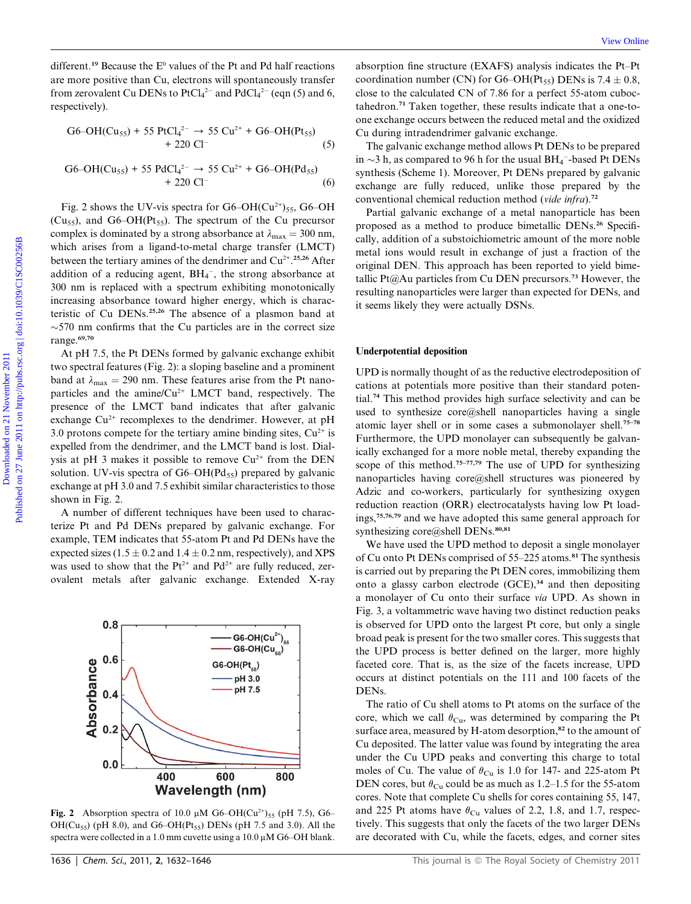different.<sup>19</sup> Because the  $E^0$  values of the Pt and Pd half reactions are more positive than Cu, electrons will spontaneously transfer from zerovalent Cu DENs to  $PtCl_4^{2-}$  and  $PdCl_4^{2-}$  (eqn (5) and 6, respectively).

$$
G6-OH(Cl_{55}) + 55 \text{ PtCl}_{4}^{2-} \rightarrow 55 \text{ Cu}^{2+} + G6-OH(Pt_{55}) + 220 \text{ Cl}^{-} \tag{5}
$$

$$
G6-OH(Cu_{55}) + 55 \text{ PdCl}_4^{2-} \rightarrow 55 \text{ Cu}^{2+} + G6-OH(Pd_{55})
$$
  
+ 220 Cl<sup>-</sup> (6)

Fig. 2 shows the UV-vis spectra for  $G6-OH(Cu^{2+})_{55}$ ,  $G6-OH$ (Cu<sub>55</sub>), and G6–OH(Pt<sub>55</sub>). The spectrum of the Cu precursor complex is dominated by a strong absorbance at  $\lambda_{\text{max}} = 300 \text{ nm}$ , which arises from a ligand-to-metal charge transfer (LMCT) between the tertiary amines of the dendrimer and  $Cu^{2+}$ .<sup>25,26</sup> After addition of a reducing agent,  $BH<sub>4</sub><sup>-</sup>$ , the strong absorbance at 300 nm is replaced with a spectrum exhibiting monotonically increasing absorbance toward higher energy, which is characteristic of Cu DENs.25,26 The absence of a plasmon band at  $\sim$  570 nm confirms that the Cu particles are in the correct size range.69,70

At pH 7.5, the Pt DENs formed by galvanic exchange exhibit two spectral features (Fig. 2): a sloping baseline and a prominent band at  $\lambda_{\text{max}} = 290$  nm. These features arise from the Pt nanoparticles and the amine/ $Cu^{2+}$  LMCT band, respectively. The presence of the LMCT band indicates that after galvanic exchange  $Cu^{2+}$  recomplexes to the dendrimer. However, at pH 3.0 protons compete for the tertiary amine binding sites,  $Cu^{2+}$  is expelled from the dendrimer, and the LMCT band is lost. Dialysis at pH 3 makes it possible to remove  $Cu^{2+}$  from the DEN solution. UV-vis spectra of  $G6-OH(Pd_{55})$  prepared by galvanic exchange at pH 3.0 and 7.5 exhibit similar characteristics to those shown in Fig. 2.

A number of different techniques have been used to characterize Pt and Pd DENs prepared by galvanic exchange. For example, TEM indicates that 55-atom Pt and Pd DENs have the expected sizes (1.5  $\pm$  0.2 and 1.4  $\pm$  0.2 nm, respectively), and XPS was used to show that the  $Pt^{2+}$  and  $Pd^{2+}$  are fully reduced, zerovalent metals after galvanic exchange. Extended X-ray



**Fig. 2** Absorption spectra of 10.0  $\mu$ M G6–OH(Cu<sup>2+</sup>)<sub>55</sub> (pH 7.5), G6– OH(Cu<sub>55</sub>) (pH 8.0), and G6–OH(Pt<sub>55</sub>) DENs (pH 7.5 and 3.0). All the spectra were collected in a 1.0 mm cuvette using a  $10.0 \mu$ M G6–OH blank.

absorption fine structure (EXAFS) analysis indicates the Pt–Pt coordination number (CN) for G6–OH(Pt<sub>55</sub>) DENs is 7.4  $\pm$  0.8, close to the calculated CN of 7.86 for a perfect 55-atom cuboctahedron.<sup>71</sup> Taken together, these results indicate that a one-toone exchange occurs between the reduced metal and the oxidized Cu during intradendrimer galvanic exchange.

The galvanic exchange method allows Pt DENs to be prepared in  $\sim$ 3 h, as compared to 96 h for the usual BH<sub>4</sub><sup>-</sup>-based Pt DENs synthesis (Scheme 1). Moreover, Pt DENs prepared by galvanic exchange are fully reduced, unlike those prepared by the conventional chemical reduction method (vide infra).<sup>72</sup>

Partial galvanic exchange of a metal nanoparticle has been proposed as a method to produce bimetallic DENs.<sup>26</sup> Specifically, addition of a substoichiometric amount of the more noble metal ions would result in exchange of just a fraction of the original DEN. This approach has been reported to yield bimetallic Pt@Au particles from Cu DEN precursors.<sup>73</sup> However, the resulting nanoparticles were larger than expected for DENs, and it seems likely they were actually DSNs.

#### Underpotential deposition

UPD is normally thought of as the reductive electrodeposition of cations at potentials more positive than their standard potential.<sup>74</sup> This method provides high surface selectivity and can be used to synthesize core@shell nanoparticles having a single atomic layer shell or in some cases a submonolayer shell.75–78 Furthermore, the UPD monolayer can subsequently be galvanically exchanged for a more noble metal, thereby expanding the scope of this method.<sup>75-77,79</sup> The use of UPD for synthesizing nanoparticles having core@shell structures was pioneered by Adzic and co-workers, particularly for synthesizing oxygen reduction reaction (ORR) electrocatalysts having low Pt loadings,75,76,79 and we have adopted this same general approach for synthesizing core@shell DENs.<sup>80,81</sup> Download the Ryshan of the November 2011 on the November 2011 on the November 2011 on the November 2011 on the November 2011 on the November 2011 on the November 2011 on the November 2011 on the November 2012 on the Novem

> We have used the UPD method to deposit a single monolayer of Cu onto Pt DENs comprised of 55–225 atoms.<sup>81</sup> The synthesis is carried out by preparing the Pt DEN cores, immobilizing them onto a glassy carbon electrode  $(GCE)$ ,<sup>34</sup> and then depositing a monolayer of Cu onto their surface via UPD. As shown in Fig. 3, a voltammetric wave having two distinct reduction peaks is observed for UPD onto the largest Pt core, but only a single broad peak is present for the two smaller cores. This suggests that the UPD process is better defined on the larger, more highly faceted core. That is, as the size of the facets increase, UPD occurs at distinct potentials on the 111 and 100 facets of the DENs.

> The ratio of Cu shell atoms to Pt atoms on the surface of the core, which we call  $\theta_{\text{Cu}}$ , was determined by comparing the Pt surface area, measured by H-atom desorption,<sup>82</sup> to the amount of Cu deposited. The latter value was found by integrating the area under the Cu UPD peaks and converting this charge to total moles of Cu. The value of  $\theta_{Cu}$  is 1.0 for 147- and 225-atom Pt DEN cores, but  $\theta_{Cu}$  could be as much as 1.2–1.5 for the 55-atom cores. Note that complete Cu shells for cores containing 55, 147, and 225 Pt atoms have  $\theta_{Cu}$  values of 2.2, 1.8, and 1.7, respectively. This suggests that only the facets of the two larger DENs are decorated with Cu, while the facets, edges, and corner sites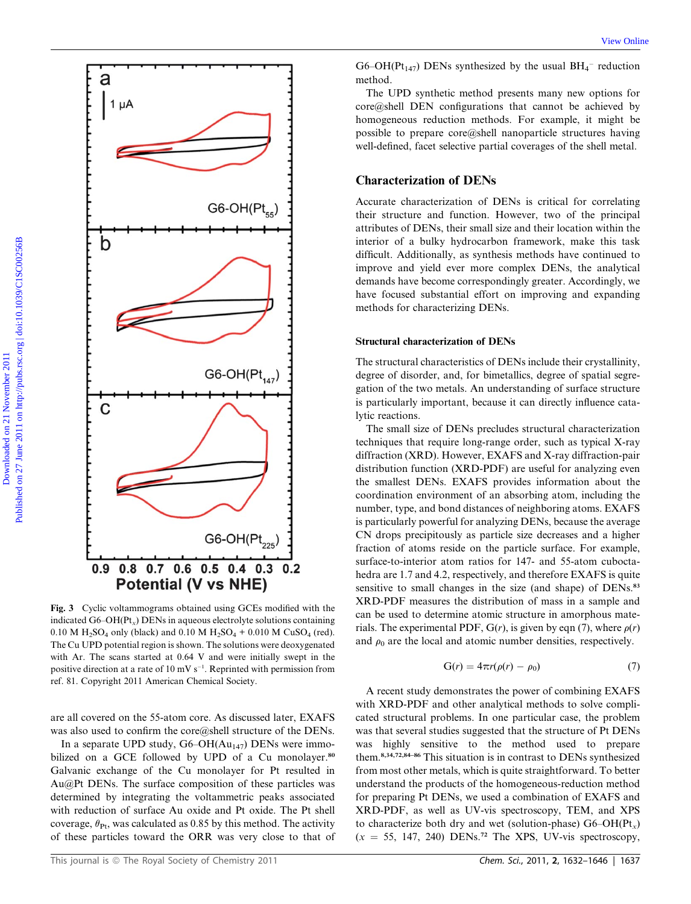

Fig. 3 Cyclic voltammograms obtained using GCEs modified with the indicated G6–OH( $Pt_x$ ) DENs in aqueous electrolyte solutions containing 0.10 M  $H_2SO_4$  only (black) and 0.10 M  $H_2SO_4 + 0.010$  M  $CuSO_4$  (red). The Cu UPD potential region is shown. The solutions were deoxygenated with Ar. The scans started at 0.64 V and were initially swept in the positive direction at a rate of 10 mV  $s^{-1}$ . Reprinted with permission from ref. 81. Copyright 2011 American Chemical Society.

are all covered on the 55-atom core. As discussed later, EXAFS was also used to confirm the core@shell structure of the DENs.

In a separate UPD study,  $G6-OH(Au_{147})$  DENs were immobilized on a GCE followed by UPD of a Cu monolayer.<sup>80</sup> Galvanic exchange of the Cu monolayer for Pt resulted in Au@Pt DENs. The surface composition of these particles was determined by integrating the voltammetric peaks associated with reduction of surface Au oxide and Pt oxide. The Pt shell coverage,  $\theta_{\text{Pt}}$ , was calculated as 0.85 by this method. The activity of these particles toward the ORR was very close to that of

 $G6-OH(Pt<sub>147</sub>)$  DENs synthesized by the usual  $BH<sub>4</sub><sup>-</sup>$  reduction method.

The UPD synthetic method presents many new options for core@shell DEN configurations that cannot be achieved by homogeneous reduction methods. For example, it might be possible to prepare core@shell nanoparticle structures having well-defined, facet selective partial coverages of the shell metal.

# Characterization of DENs

Accurate characterization of DENs is critical for correlating their structure and function. However, two of the principal attributes of DENs, their small size and their location within the interior of a bulky hydrocarbon framework, make this task difficult. Additionally, as synthesis methods have continued to improve and yield ever more complex DENs, the analytical demands have become correspondingly greater. Accordingly, we have focused substantial effort on improving and expanding methods for characterizing DENs.

### Structural characterization of DENs

The structural characteristics of DENs include their crystallinity, degree of disorder, and, for bimetallics, degree of spatial segregation of the two metals. An understanding of surface structure is particularly important, because it can directly influence catalytic reactions.

The small size of DENs precludes structural characterization techniques that require long-range order, such as typical X-ray diffraction (XRD). However, EXAFS and X-ray diffraction-pair distribution function (XRD-PDF) are useful for analyzing even the smallest DENs. EXAFS provides information about the coordination environment of an absorbing atom, including the number, type, and bond distances of neighboring atoms. EXAFS is particularly powerful for analyzing DENs, because the average CN drops precipitously as particle size decreases and a higher fraction of atoms reside on the particle surface. For example, surface-to-interior atom ratios for 147- and 55-atom cuboctahedra are 1.7 and 4.2, respectively, and therefore EXAFS is quite sensitive to small changes in the size (and shape) of DENs.<sup>83</sup> XRD-PDF measures the distribution of mass in a sample and can be used to determine atomic structure in amorphous materials. The experimental PDF,  $G(r)$ , is given by eqn (7), where  $\rho(r)$ and  $\rho_0$  are the local and atomic number densities, respectively.

$$
G(r) = 4\pi r(\rho(r) - \rho_0) \tag{7}
$$

A recent study demonstrates the power of combining EXAFS with XRD-PDF and other analytical methods to solve complicated structural problems. In one particular case, the problem was that several studies suggested that the structure of Pt DENs was highly sensitive to the method used to prepare them.8,34,72,84–86 This situation is in contrast to DENs synthesized from most other metals, which is quite straightforward. To better understand the products of the homogeneous-reduction method for preparing Pt DENs, we used a combination of EXAFS and XRD-PDF, as well as UV-vis spectroscopy, TEM, and XPS to characterize both dry and wet (solution-phase)  $G6-OH(Pt<sub>x</sub>)$  $(x = 55, 147, 240)$  DENs.<sup>72</sup> The XPS, UV-vis spectroscopy,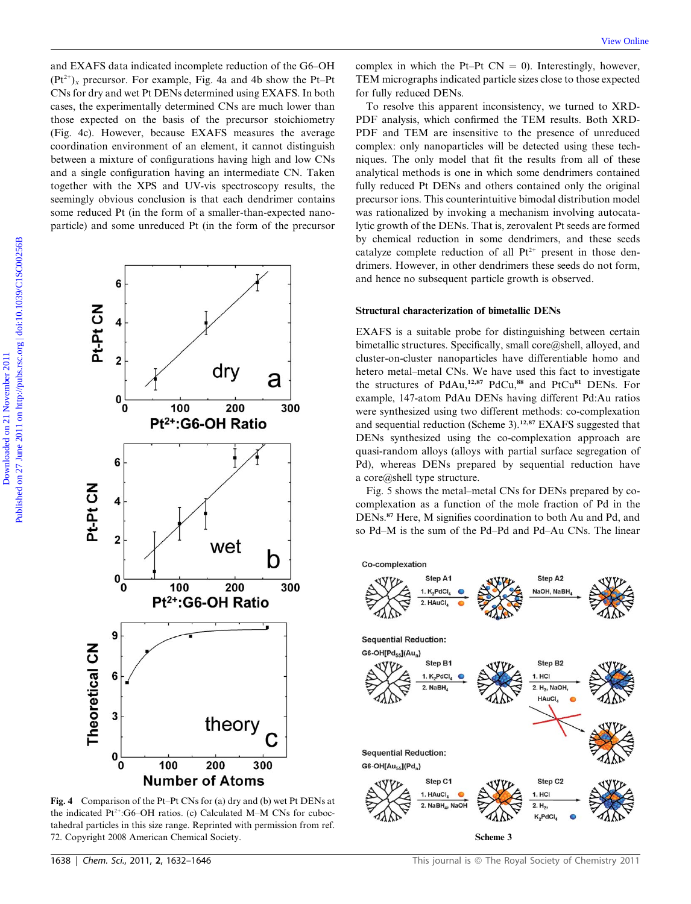and EXAFS data indicated incomplete reduction of the G6–OH  $(Pt^{2+})$ <sub>x</sub> precursor. For example, Fig. 4a and 4b show the Pt–Pt CNs for dry and wet Pt DENs determined using EXAFS. In both cases, the experimentally determined CNs are much lower than those expected on the basis of the precursor stoichiometry (Fig. 4c). However, because EXAFS measures the average coordination environment of an element, it cannot distinguish between a mixture of configurations having high and low CNs and a single configuration having an intermediate CN. Taken together with the XPS and UV-vis spectroscopy results, the seemingly obvious conclusion is that each dendrimer contains some reduced Pt (in the form of a smaller-than-expected nanoparticle) and some unreduced Pt (in the form of the precursor



Fig. 4 Comparison of the Pt–Pt CNs for (a) dry and (b) wet Pt DENs at the indicated Pt<sup>2+</sup>:G6-OH ratios. (c) Calculated M-M CNs for cuboctahedral particles in this size range. Reprinted with permission from ref. 72. Copyright 2008 American Chemical Society. Scheme 3

complex in which the Pt–Pt  $CN = 0$ ). Interestingly, however, TEM micrographs indicated particle sizes close to those expected for fully reduced DENs.

To resolve this apparent inconsistency, we turned to XRD-PDF analysis, which confirmed the TEM results. Both XRD-PDF and TEM are insensitive to the presence of unreduced complex: only nanoparticles will be detected using these techniques. The only model that fit the results from all of these analytical methods is one in which some dendrimers contained fully reduced Pt DENs and others contained only the original precursor ions. This counterintuitive bimodal distribution model was rationalized by invoking a mechanism involving autocatalytic growth of the DENs. That is, zerovalent Pt seeds are formed by chemical reduction in some dendrimers, and these seeds catalyze complete reduction of all  $Pt^{2+}$  present in those dendrimers. However, in other dendrimers these seeds do not form, and hence no subsequent particle growth is observed.

#### Structural characterization of bimetallic DENs

EXAFS is a suitable probe for distinguishing between certain bimetallic structures. Specifically, small core@shell, alloyed, and cluster-on-cluster nanoparticles have differentiable homo and hetero metal–metal CNs. We have used this fact to investigate the structures of PdAu,<sup>12,87</sup> PdCu,<sup>88</sup> and PtCu<sup>81</sup> DENs. For example, 147-atom PdAu DENs having different Pd:Au ratios were synthesized using two different methods: co-complexation and sequential reduction (Scheme 3).12,87 EXAFS suggested that DENs synthesized using the co-complexation approach are quasi-random alloys (alloys with partial surface segregation of Pd), whereas DENs prepared by sequential reduction have a core@shell type structure.

Fig. 5 shows the metal–metal CNs for DENs prepared by cocomplexation as a function of the mole fraction of Pd in the DENs.<sup>87</sup> Here, M signifies coordination to both Au and Pd, and so Pd–M is the sum of the Pd–Pd and Pd–Au CNs. The linear

Co-complexation

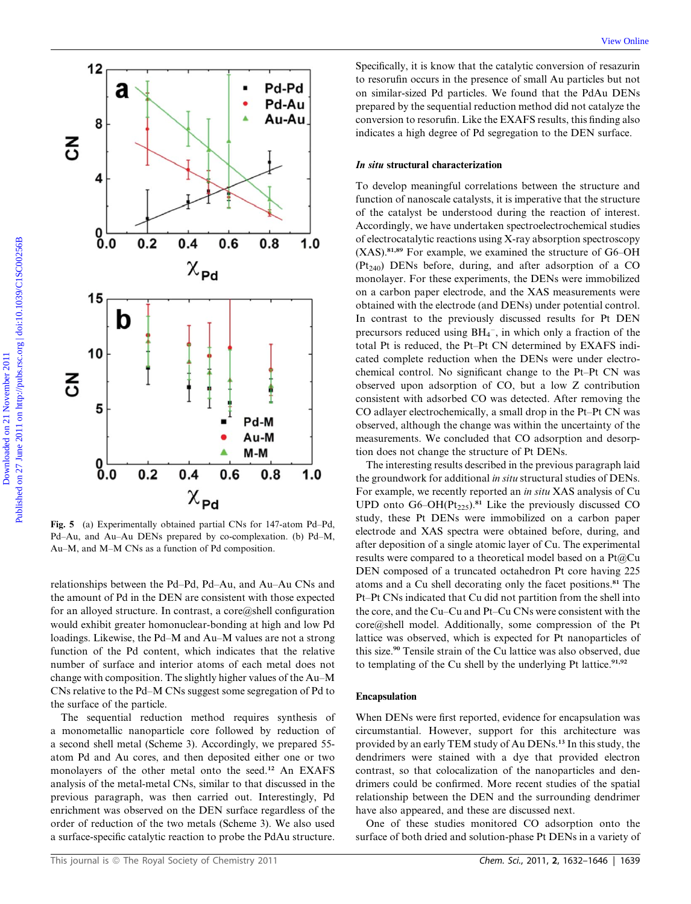

Fig. 5 (a) Experimentally obtained partial CNs for 147-atom Pd–Pd, Pd–Au, and Au–Au DENs prepared by co-complexation. (b) Pd–M, Au–M, and M–M CNs as a function of Pd composition.

relationships between the Pd–Pd, Pd–Au, and Au–Au CNs and the amount of Pd in the DEN are consistent with those expected for an alloyed structure. In contrast, a core@shell configuration would exhibit greater homonuclear-bonding at high and low Pd loadings. Likewise, the Pd–M and Au–M values are not a strong function of the Pd content, which indicates that the relative number of surface and interior atoms of each metal does not change with composition. The slightly higher values of the Au–M CNs relative to the Pd–M CNs suggest some segregation of Pd to the surface of the particle.

The sequential reduction method requires synthesis of a monometallic nanoparticle core followed by reduction of a second shell metal (Scheme 3). Accordingly, we prepared 55 atom Pd and Au cores, and then deposited either one or two monolayers of the other metal onto the seed.<sup>12</sup> An EXAFS analysis of the metal-metal CNs, similar to that discussed in the previous paragraph, was then carried out. Interestingly, Pd enrichment was observed on the DEN surface regardless of the order of reduction of the two metals (Scheme 3). We also used a surface-specific catalytic reaction to probe the PdAu structure.

Specifically, it is know that the catalytic conversion of resazurin to resorufin occurs in the presence of small Au particles but not on similar-sized Pd particles. We found that the PdAu DENs prepared by the sequential reduction method did not catalyze the conversion to resorufin. Like the EXAFS results, this finding also indicates a high degree of Pd segregation to the DEN surface.

#### In situ structural characterization

To develop meaningful correlations between the structure and function of nanoscale catalysts, it is imperative that the structure of the catalyst be understood during the reaction of interest. Accordingly, we have undertaken spectroelectrochemical studies of electrocatalytic reactions using X-ray absorption spectroscopy (XAS).81,89 For example, we examined the structure of G6–OH  $(Pt<sub>240</sub>)$  DENs before, during, and after adsorption of a CO monolayer. For these experiments, the DENs were immobilized on a carbon paper electrode, and the XAS measurements were obtained with the electrode (and DENs) under potential control. In contrast to the previously discussed results for Pt DEN precursors reduced using  $BH_4^-$ , in which only a fraction of the total Pt is reduced, the Pt–Pt CN determined by EXAFS indicated complete reduction when the DENs were under electrochemical control. No significant change to the Pt–Pt CN was observed upon adsorption of CO, but a low Z contribution consistent with adsorbed CO was detected. After removing the CO adlayer electrochemically, a small drop in the Pt–Pt CN was observed, although the change was within the uncertainty of the measurements. We concluded that CO adsorption and desorption does not change the structure of Pt DENs. **12**<br> **EXAMPLE 12 Pd-Pd**<br>
In consideration in the presentation in the second<br> **EXAMPLE INTERE AND INTERE AND INTERE AND INTEREEXANT SPEED (AND INTEREST AND TRIVE CONDUCTS THE CONDUCTS IN THE CONDUCTS INTERET (THE CONDUC** 

The interesting results described in the previous paragraph laid the groundwork for additional in situ structural studies of DENs. For example, we recently reported an in situ XAS analysis of Cu UPD onto G6–OH(Pt<sub>225</sub>).<sup>81</sup> Like the previously discussed CO study, these Pt DENs were immobilized on a carbon paper electrode and XAS spectra were obtained before, during, and after deposition of a single atomic layer of Cu. The experimental results were compared to a theoretical model based on a Pt@Cu DEN composed of a truncated octahedron Pt core having 225 atoms and a Cu shell decorating only the facet positions.<sup>81</sup> The Pt–Pt CNs indicated that Cu did not partition from the shell into the core, and the Cu–Cu and Pt–Cu CNs were consistent with the core@shell model. Additionally, some compression of the Pt lattice was observed, which is expected for Pt nanoparticles of this size.<sup>90</sup> Tensile strain of the Cu lattice was also observed, due to templating of the Cu shell by the underlying Pt lattice.<sup>91,92</sup>

#### Encapsulation

When DENs were first reported, evidence for encapsulation was circumstantial. However, support for this architecture was provided by an early TEM study of Au DENs.<sup>13</sup> In this study, the dendrimers were stained with a dye that provided electron contrast, so that colocalization of the nanoparticles and dendrimers could be confirmed. More recent studies of the spatial relationship between the DEN and the surrounding dendrimer have also appeared, and these are discussed next.

One of these studies monitored CO adsorption onto the surface of both dried and solution-phase Pt DENs in a variety of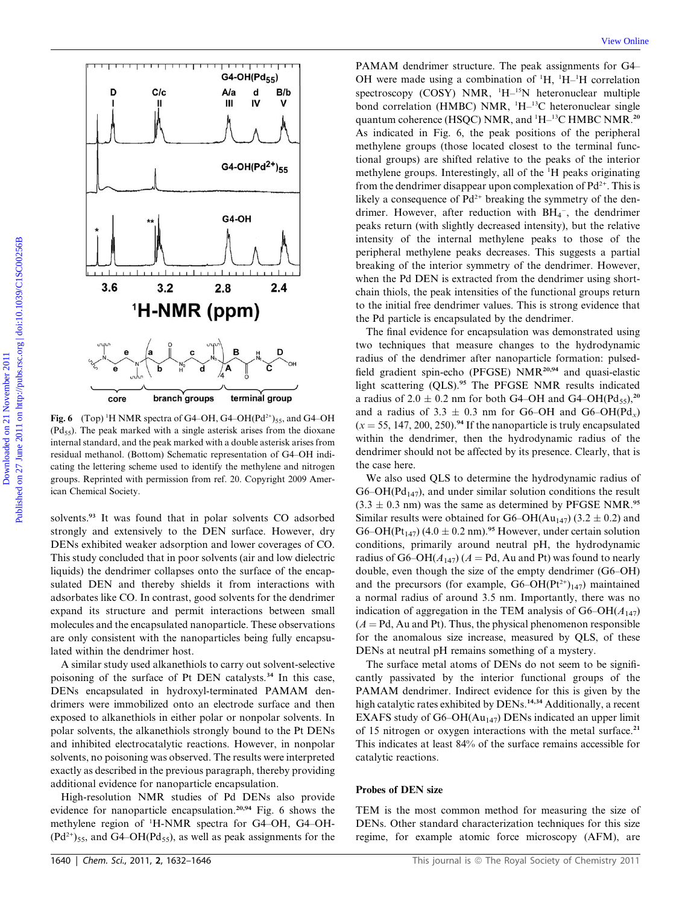

**Fig. 6** (Top) <sup>1</sup>H NMR spectra of G4–OH, G4–OH(Pd<sup>2+</sup>)<sub>55</sub>, and G4–OH  $(Pd_{55})$ . The peak marked with a single asterisk arises from the dioxane internal standard, and the peak marked with a double asterisk arises from residual methanol. (Bottom) Schematic representation of G4–OH indicating the lettering scheme used to identify the methylene and nitrogen groups. Reprinted with permission from ref. 20. Copyright 2009 American Chemical Society.

solvents.<sup>93</sup> It was found that in polar solvents CO adsorbed strongly and extensively to the DEN surface. However, dry DENs exhibited weaker adsorption and lower coverages of CO. This study concluded that in poor solvents (air and low dielectric liquids) the dendrimer collapses onto the surface of the encapsulated DEN and thereby shields it from interactions with adsorbates like CO. In contrast, good solvents for the dendrimer expand its structure and permit interactions between small molecules and the encapsulated nanoparticle. These observations are only consistent with the nanoparticles being fully encapsulated within the dendrimer host.

A similar study used alkanethiols to carry out solvent-selective poisoning of the surface of Pt DEN catalysts.<sup>34</sup> In this case, DENs encapsulated in hydroxyl-terminated PAMAM dendrimers were immobilized onto an electrode surface and then exposed to alkanethiols in either polar or nonpolar solvents. In polar solvents, the alkanethiols strongly bound to the Pt DENs and inhibited electrocatalytic reactions. However, in nonpolar solvents, no poisoning was observed. The results were interpreted exactly as described in the previous paragraph, thereby providing additional evidence for nanoparticle encapsulation.

High-resolution NMR studies of Pd DENs also provide evidence for nanoparticle encapsulation.<sup>20,94</sup> Fig. 6 shows the methylene region of <sup>1</sup> H-NMR spectra for G4–OH, G4–OH-  $(Pd^{2+})_{55}$ , and G4–OH( $Pd_{55}$ ), as well as peak assignments for the

PAMAM dendrimer structure. The peak assignments for G4– OH were made using a combination of  $^1H$ ,  $^1H$ - $^1H$  correlation spectroscopy (COSY) NMR, <sup>1</sup>H-<sup>15</sup>N heteronuclear multiple bond correlation (HMBC) NMR, <sup>1</sup>H<sup>-13</sup>C heteronuclear single quantum coherence (HSQC) NMR, and  $^1$ H $-$ <sup>13</sup>C HMBC NMR.<sup>20</sup> As indicated in Fig. 6, the peak positions of the peripheral methylene groups (those located closest to the terminal functional groups) are shifted relative to the peaks of the interior methylene groups. Interestingly, all of the <sup>1</sup> H peaks originating from the dendrimer disappear upon complexation of  $Pd^{2+}$ . This is likely a consequence of  $Pd^{2+}$  breaking the symmetry of the dendrimer. However, after reduction with  $BH<sub>4</sub>$ <sup>-</sup>, the dendrimer peaks return (with slightly decreased intensity), but the relative intensity of the internal methylene peaks to those of the peripheral methylene peaks decreases. This suggests a partial breaking of the interior symmetry of the dendrimer. However, when the Pd DEN is extracted from the dendrimer using shortchain thiols, the peak intensities of the functional groups return to the initial free dendrimer values. This is strong evidence that the Pd particle is encapsulated by the dendrimer.

The final evidence for encapsulation was demonstrated using two techniques that measure changes to the hydrodynamic radius of the dendrimer after nanoparticle formation: pulsedfield gradient spin-echo (PFGSE) NMR20,94 and quasi-elastic light scattering (QLS).<sup>95</sup> The PFGSE NMR results indicated a radius of  $2.0 \pm 0.2$  nm for both G4–OH and G4–OH(Pd<sub>55</sub>),<sup>20</sup> and a radius of  $3.3 \pm 0.3$  nm for G6–OH and G6–OH(Pd<sub>x</sub>)  $(x = 55, 147, 200, 250)$ .<sup>94</sup> If the nanoparticle is truly encapsulated within the dendrimer, then the hydrodynamic radius of the dendrimer should not be affected by its presence. Clearly, that is the case here.

We also used QLS to determine the hydrodynamic radius of  $G6-OH(Pd<sub>147</sub>)$ , and under similar solution conditions the result  $(3.3 \pm 0.3 \text{ nm})$  was the same as determined by PFGSE NMR.<sup>95</sup> Similar results were obtained for G6–OH(Au<sub>147</sub>) (3.2  $\pm$  0.2) and G6–OH( $Pt_{147}$ ) (4.0  $\pm$  0.2 nm).<sup>95</sup> However, under certain solution conditions, primarily around neutral pH, the hydrodynamic radius of G6–OH( $A_{147}$ ) ( $A =$ Pd, Au and Pt) was found to nearly double, even though the size of the empty dendrimer (G6–OH) and the precursors (for example,  $G6-OH(Pt^{2+})_{147}$ ) maintained a normal radius of around 3.5 nm. Importantly, there was no indication of aggregation in the TEM analysis of  $G6-OH(A<sub>147</sub>)$  $(A = Pd, Au$  and Pt). Thus, the physical phenomenon responsible for the anomalous size increase, measured by QLS, of these DENs at neutral pH remains something of a mystery.

The surface metal atoms of DENs do not seem to be significantly passivated by the interior functional groups of the PAMAM dendrimer. Indirect evidence for this is given by the high catalytic rates exhibited by DENs.<sup>14,34</sup> Additionally, a recent EXAFS study of G6–OH( $Au_{147}$ ) DENs indicated an upper limit of 15 nitrogen or oxygen interactions with the metal surface.<sup>21</sup> This indicates at least 84% of the surface remains accessible for catalytic reactions.

### Probes of DEN size

TEM is the most common method for measuring the size of DENs. Other standard characterization techniques for this size regime, for example atomic force microscopy (AFM), are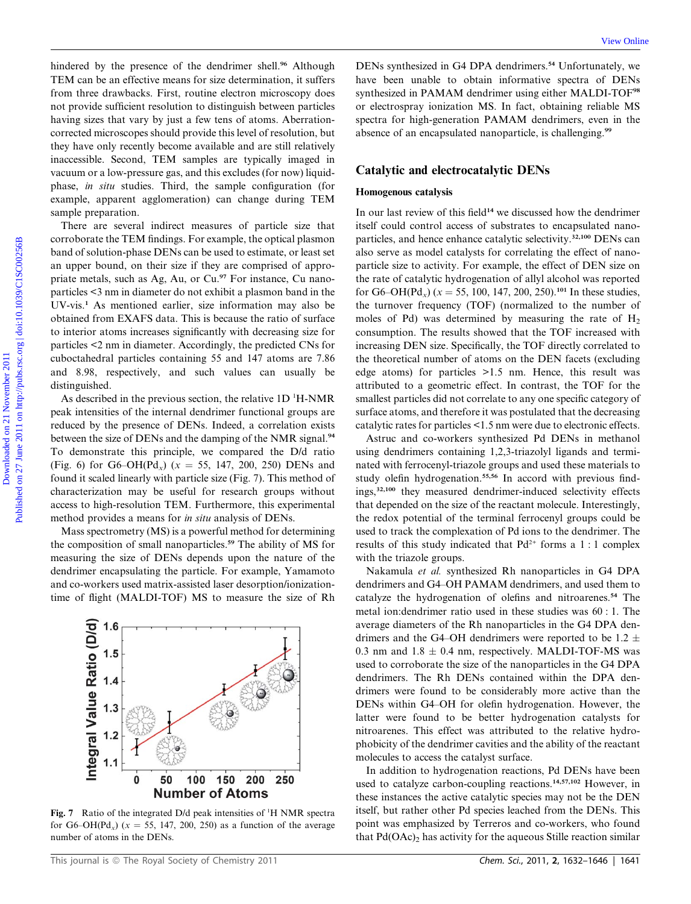hindered by the presence of the dendrimer shell.<sup>96</sup> Although TEM can be an effective means for size determination, it suffers from three drawbacks. First, routine electron microscopy does not provide sufficient resolution to distinguish between particles having sizes that vary by just a few tens of atoms. Aberrationcorrected microscopes should provide this level of resolution, but they have only recently become available and are still relatively inaccessible. Second, TEM samples are typically imaged in vacuum or a low-pressure gas, and this excludes (for now) liquidphase, in situ studies. Third, the sample configuration (for example, apparent agglomeration) can change during TEM sample preparation.

There are several indirect measures of particle size that corroborate the TEM findings. For example, the optical plasmon band of solution-phase DENs can be used to estimate, or least set an upper bound, on their size if they are comprised of appropriate metals, such as Ag, Au, or Cu.97 For instance, Cu nanoparticles <3 nm in diameter do not exhibit a plasmon band in the UV-vis.<sup>1</sup> As mentioned earlier, size information may also be obtained from EXAFS data. This is because the ratio of surface to interior atoms increases significantly with decreasing size for particles <2 nm in diameter. Accordingly, the predicted CNs for cuboctahedral particles containing 55 and 147 atoms are 7.86 and 8.98, respectively, and such values can usually be distinguished.

As described in the previous section, the relative  $1D<sup>1</sup>H-NMR$ peak intensities of the internal dendrimer functional groups are reduced by the presence of DENs. Indeed, a correlation exists between the size of DENs and the damping of the NMR signal.<sup>94</sup> To demonstrate this principle, we compared the D/d ratio (Fig. 6) for G6–OH(Pd<sub>x</sub>) ( $x = 55$ , 147, 200, 250) DENs and found it scaled linearly with particle size (Fig. 7). This method of characterization may be useful for research groups without access to high-resolution TEM. Furthermore, this experimental method provides a means for in situ analysis of DENs.

Mass spectrometry (MS) is a powerful method for determining the composition of small nanoparticles.<sup>59</sup> The ability of MS for measuring the size of DENs depends upon the nature of the dendrimer encapsulating the particle. For example, Yamamoto and co-workers used matrix-assisted laser desorption/ionizationtime of flight (MALDI-TOF) MS to measure the size of Rh

number of atoms in the DENs.

DENs synthesized in G4 DPA dendrimers.<sup>54</sup> Unfortunately, we have been unable to obtain informative spectra of DENs synthesized in PAMAM dendrimer using either MALDI-TOF<sup>98</sup> or electrospray ionization MS. In fact, obtaining reliable MS spectra for high-generation PAMAM dendrimers, even in the absence of an encapsulated nanoparticle, is challenging.<sup>99</sup>

#### Catalytic and electrocatalytic DENs

#### Homogenous catalysis

In our last review of this field<sup>14</sup> we discussed how the dendrimer itself could control access of substrates to encapsulated nanoparticles, and hence enhance catalytic selectivity.<sup>32,100</sup> DENs can also serve as model catalysts for correlating the effect of nanoparticle size to activity. For example, the effect of DEN size on the rate of catalytic hydrogenation of allyl alcohol was reported for G6–OH(Pd<sub>x</sub>) (x = 55, 100, 147, 200, 250).<sup>101</sup> In these studies, the turnover frequency (TOF) (normalized to the number of moles of Pd) was determined by measuring the rate of  $H_2$ consumption. The results showed that the TOF increased with increasing DEN size. Specifically, the TOF directly correlated to the theoretical number of atoms on the DEN facets (excluding edge atoms) for particles >1.5 nm. Hence, this result was attributed to a geometric effect. In contrast, the TOF for the smallest particles did not correlate to any one specific category of surface atoms, and therefore it was postulated that the decreasing catalytic rates for particles <1.5 nm were due to electronic effects. Trieduced by the presence of the densitions widthe Abbasel DFNs synthosical m G4DPA densitions as TWM can be an official mode of the mode the column information properties are the column information by the state of the mo

Astruc and co-workers synthesized Pd DENs in methanol using dendrimers containing 1,2,3-triazolyl ligands and terminated with ferrocenyl-triazole groups and used these materials to study olefin hydrogenation.<sup>55,56</sup> In accord with previous findings,32,100 they measured dendrimer-induced selectivity effects that depended on the size of the reactant molecule. Interestingly, the redox potential of the terminal ferrocenyl groups could be used to track the complexation of Pd ions to the dendrimer. The results of this study indicated that  $Pd^{2+}$  forms a 1 : 1 complex with the triazole groups.

Nakamula et al. synthesized Rh nanoparticles in G4 DPA dendrimers and G4–OH PAMAM dendrimers, and used them to catalyze the hydrogenation of olefins and nitroarenes.<sup>54</sup> The metal ion:dendrimer ratio used in these studies was 60 : 1. The average diameters of the Rh nanoparticles in the G4 DPA dendrimers and the G4–OH dendrimers were reported to be 1.2  $\pm$ 0.3 nm and  $1.8 \pm 0.4$  nm, respectively. MALDI-TOF-MS was used to corroborate the size of the nanoparticles in the G4 DPA dendrimers. The Rh DENs contained within the DPA dendrimers were found to be considerably more active than the DENs within G4–OH for olefin hydrogenation. However, the latter were found to be better hydrogenation catalysts for nitroarenes. This effect was attributed to the relative hydrophobicity of the dendrimer cavities and the ability of the reactant molecules to access the catalyst surface.

In addition to hydrogenation reactions, Pd DENs have been used to catalyze carbon-coupling reactions.<sup>14,57,102</sup> However, in these instances the active catalytic species may not be the DEN itself, but rather other Pd species leached from the DENs. This point was emphasized by Terreros and co-workers, who found that  $Pd(OAc)$ , has activity for the aqueous Stille reaction similar



Fig. 7 Ratio of the integrated D/d peak intensities of <sup>1</sup>H NMR spectra for G6–OH( $Pd_x$ ) ( $x = 55$ , 147, 200, 250) as a function of the average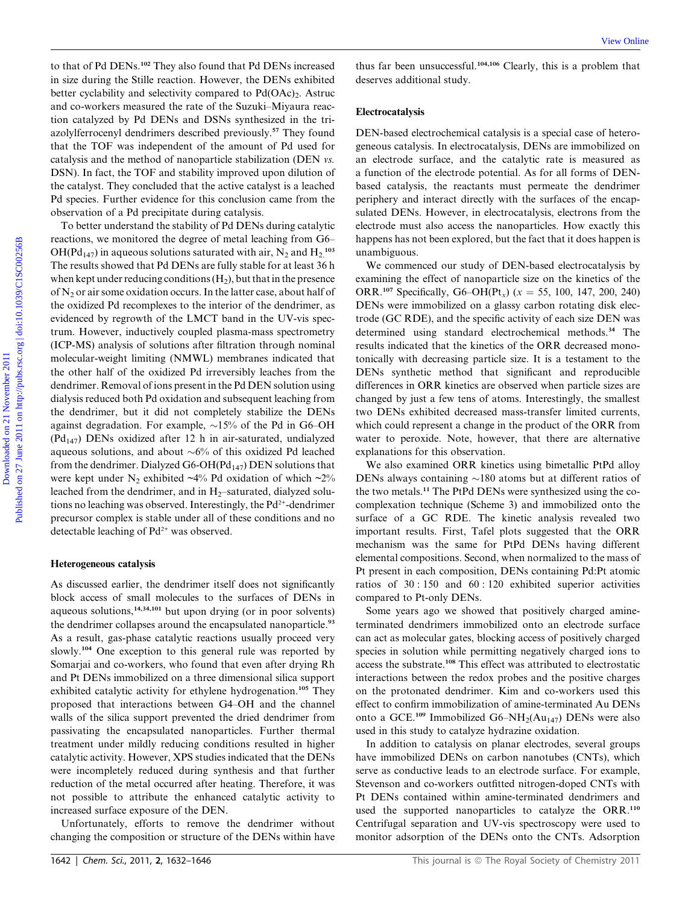to that of Pd DENs.<sup>102</sup> They also found that Pd DENs increased in size during the Stille reaction. However, the DENs exhibited better cyclability and selectivity compared to  $Pd(OAc)_{2}$ . Astruc and co-workers measured the rate of the Suzuki–Miyaura reaction catalyzed by Pd DENs and DSNs synthesized in the triazolylferrocenyl dendrimers described previously.<sup>57</sup> They found that the TOF was independent of the amount of Pd used for catalysis and the method of nanoparticle stabilization (DEN vs. DSN). In fact, the TOF and stability improved upon dilution of the catalyst. They concluded that the active catalyst is a leached Pd species. Further evidence for this conclusion came from the observation of a Pd precipitate during catalysis.

To better understand the stability of Pd DENs during catalytic reactions, we monitored the degree of metal leaching from G6– OH(Pd<sub>147</sub>) in aqueous solutions saturated with air,  $N_2$  and H<sub>2.</sub><sup>103</sup> The results showed that Pd DENs are fully stable for at least 36 h when kept under reducing conditions  $(H<sub>2</sub>)$ , but that in the presence of  $N<sub>2</sub>$  or air some oxidation occurs. In the latter case, about half of the oxidized Pd recomplexes to the interior of the dendrimer, as evidenced by regrowth of the LMCT band in the UV-vis spectrum. However, inductively coupled plasma-mass spectrometry (ICP-MS) analysis of solutions after filtration through nominal molecular-weight limiting (NMWL) membranes indicated that the other half of the oxidized Pd irreversibly leaches from the dendrimer. Removal of ions present in the Pd DEN solution using dialysis reduced both Pd oxidation and subsequent leaching from the dendrimer, but it did not completely stabilize the DENs against degradation. For example,  $\sim 15\%$  of the Pd in G6–OH  $(Pd_{147})$  DENs oxidized after 12 h in air-saturated, undialyzed aqueous solutions, and about  $\sim 6\%$  of this oxidized Pd leached from the dendrimer. Dialyzed G6-OH( $Pd_{147}$ ) DEN solutions that were kept under N<sub>2</sub> exhibited  $\sim 4\%$  Pd oxidation of which  $\sim 2\%$ leached from the dendrimer, and in  $H_2$ –saturated, dialyzed solutions no leaching was observed. Interestingly, the  $Pd^{2+}$ -dendrimer precursor complex is stable under all of these conditions and no detectable leaching of  $Pd^{2+}$  was observed. to that of Published on the DFNs increased that for DFNs increased that for heat the system (series), this is a problem that the system and co-reductive published on the system and contents and contents and contents and c

#### Heterogeneous catalysis

As discussed earlier, the dendrimer itself does not significantly block access of small molecules to the surfaces of DENs in aqueous solutions, $14,34,101$  but upon drying (or in poor solvents) the dendrimer collapses around the encapsulated nanoparticle.<sup>93</sup> As a result, gas-phase catalytic reactions usually proceed very slowly.<sup>104</sup> One exception to this general rule was reported by Somarjai and co-workers, who found that even after drying Rh and Pt DENs immobilized on a three dimensional silica support exhibited catalytic activity for ethylene hydrogenation.<sup>105</sup> They proposed that interactions between G4–OH and the channel walls of the silica support prevented the dried dendrimer from passivating the encapsulated nanoparticles. Further thermal treatment under mildly reducing conditions resulted in higher catalytic activity. However, XPS studies indicated that the DENs were incompletely reduced during synthesis and that further reduction of the metal occurred after heating. Therefore, it was not possible to attribute the enhanced catalytic activity to increased surface exposure of the DEN.

Unfortunately, efforts to remove the dendrimer without changing the composition or structure of the DENs within have

thus far been unsuccessful.104,106 Clearly, this is a problem that deserves additional study.

#### Electrocatalysis

DEN-based electrochemical catalysis is a special case of heterogeneous catalysis. In electrocatalysis, DENs are immobilized on an electrode surface, and the catalytic rate is measured as a function of the electrode potential. As for all forms of DENbased catalysis, the reactants must permeate the dendrimer periphery and interact directly with the surfaces of the encapsulated DENs. However, in electrocatalysis, electrons from the electrode must also access the nanoparticles. How exactly this happens has not been explored, but the fact that it does happen is unambiguous.

We commenced our study of DEN-based electrocatalysis by examining the effect of nanoparticle size on the kinetics of the ORR.<sup>107</sup> Specifically, G6–OH(Pt<sub>x</sub>) ( $x = 55$ , 100, 147, 200, 240) DENs were immobilized on a glassy carbon rotating disk electrode (GC RDE), and the specific activity of each size DEN was determined using standard electrochemical methods.<sup>34</sup> The results indicated that the kinetics of the ORR decreased monotonically with decreasing particle size. It is a testament to the DENs synthetic method that significant and reproducible differences in ORR kinetics are observed when particle sizes are changed by just a few tens of atoms. Interestingly, the smallest two DENs exhibited decreased mass-transfer limited currents, which could represent a change in the product of the ORR from water to peroxide. Note, however, that there are alternative explanations for this observation.

We also examined ORR kinetics using bimetallic PtPd alloy DENs always containing  $\sim$ 180 atoms but at different ratios of the two metals.<sup>11</sup> The PtPd DENs were synthesized using the cocomplexation technique (Scheme 3) and immobilized onto the surface of a GC RDE. The kinetic analysis revealed two important results. First, Tafel plots suggested that the ORR mechanism was the same for PtPd DENs having different elemental compositions. Second, when normalized to the mass of Pt present in each composition, DENs containing Pd:Pt atomic ratios of 30 : 150 and 60 : 120 exhibited superior activities compared to Pt-only DENs.

Some years ago we showed that positively charged amineterminated dendrimers immobilized onto an electrode surface can act as molecular gates, blocking access of positively charged species in solution while permitting negatively charged ions to access the substrate.<sup>108</sup> This effect was attributed to electrostatic interactions between the redox probes and the positive charges on the protonated dendrimer. Kim and co-workers used this effect to confirm immobilization of amine-terminated Au DENs onto a GCE.<sup>109</sup> Immobilized G6–NH<sub>2</sub>(Au<sub>147</sub>) DENs were also used in this study to catalyze hydrazine oxidation.

In addition to catalysis on planar electrodes, several groups have immobilized DENs on carbon nanotubes (CNTs), which serve as conductive leads to an electrode surface. For example, Stevenson and co-workers outfitted nitrogen-doped CNTs with Pt DENs contained within amine-terminated dendrimers and used the supported nanoparticles to catalyze the ORR.<sup>110</sup> Centrifugal separation and UV-vis spectroscopy were used to monitor adsorption of the DENs onto the CNTs. Adsorption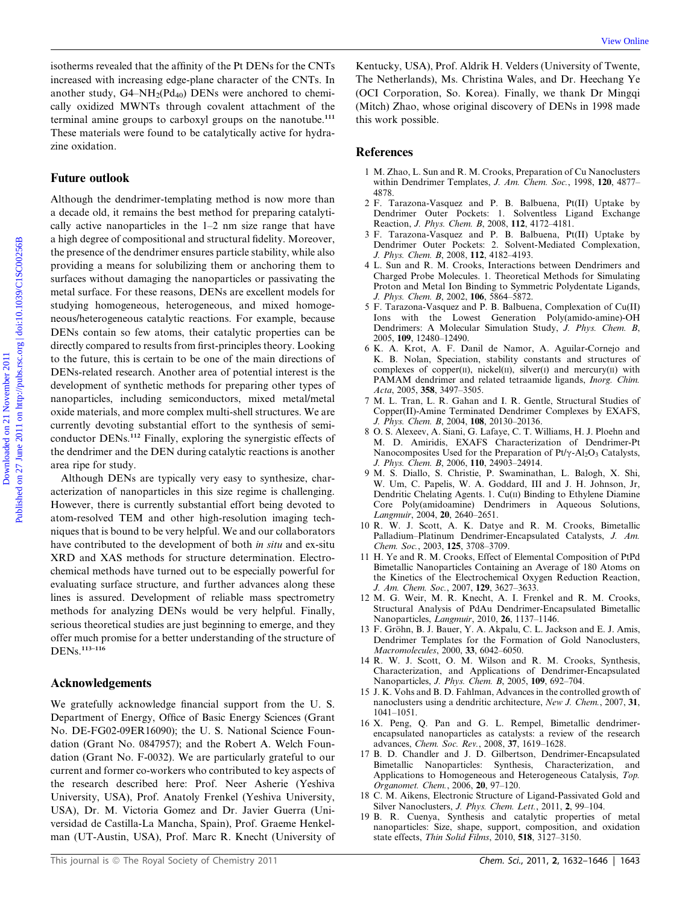isotherms revealed that the affinity of the Pt DENs for the CNTs increased with increasing edge-plane character of the CNTs. In another study,  $G4-NH_2(Pd_{40})$  DENs were anchored to chemically oxidized MWNTs through covalent attachment of the terminal amine groups to carboxyl groups on the nanotube.<sup>111</sup> These materials were found to be catalytically active for hydrazine oxidation.

#### Future outlook

Although the dendrimer-templating method is now more than a decade old, it remains the best method for preparing catalytically active nanoparticles in the 1–2 nm size range that have a high degree of compositional and structural fidelity. Moreover, the presence of the dendrimer ensures particle stability, while also providing a means for solubilizing them or anchoring them to surfaces without damaging the nanoparticles or passivating the metal surface. For these reasons, DENs are excellent models for studying homogeneous, heterogeneous, and mixed homogeneous/heterogeneous catalytic reactions. For example, because DENs contain so few atoms, their catalytic properties can be directly compared to results from first-principles theory. Looking to the future, this is certain to be one of the main directions of DENs-related research. Another area of potential interest is the development of synthetic methods for preparing other types of nanoparticles, including semiconductors, mixed metal/metal oxide materials, and more complex multi-shell structures. We are currently devoting substantial effort to the synthesis of semiconductor DENs.<sup>112</sup> Finally, exploring the synergistic effects of the dendrimer and the DEN during catalytic reactions is another area ripe for study. Collemn-received that the affinity of the Pi DFNs for the CNTs. Kerturaky, ISA). Prof. Attrick The Version concerner corresponds with receiver and the CNTs. In The National Published on 2012 November 2012 Octyventing, NAC

Although DENs are typically very easy to synthesize, characterization of nanoparticles in this size regime is challenging. However, there is currently substantial effort being devoted to atom-resolved TEM and other high-resolution imaging techniques that is bound to be very helpful. We and our collaborators have contributed to the development of both in situ and ex-situ XRD and XAS methods for structure determination. Electrochemical methods have turned out to be especially powerful for evaluating surface structure, and further advances along these lines is assured. Development of reliable mass spectrometry methods for analyzing DENs would be very helpful. Finally, serious theoretical studies are just beginning to emerge, and they offer much promise for a better understanding of the structure of DEN<sub>S.<sup>113-116</sup></sub>

## Acknowledgements

We gratefully acknowledge financial support from the U. S. Department of Energy, Office of Basic Energy Sciences (Grant No. DE-FG02-09ER16090); the U. S. National Science Foundation (Grant No. 0847957); and the Robert A. Welch Foundation (Grant No. F-0032). We are particularly grateful to our current and former co-workers who contributed to key aspects of the research described here: Prof. Neer Asherie (Yeshiva University, USA), Prof. Anatoly Frenkel (Yeshiva University, USA), Dr. M. Victoria Gomez and Dr. Javier Guerra (Universidad de Castilla-La Mancha, Spain), Prof. Graeme Henkelman (UT-Austin, USA), Prof. Marc R. Knecht (University of

Kentucky, USA), Prof. Aldrik H. Velders (University of Twente, The Netherlands), Ms. Christina Wales, and Dr. Heechang Ye (OCI Corporation, So. Korea). Finally, we thank Dr Mingqi (Mitch) Zhao, whose original discovery of DENs in 1998 made this work possible.

#### References

- 1 M. Zhao, L. Sun and R. M. Crooks, Preparation of Cu Nanoclusters within Dendrimer Templates, J. Am. Chem. Soc., 1998, 120, 4877-4878.
- 2 F. Tarazona-Vasquez and P. B. Balbuena, Pt(II) Uptake by Dendrimer Outer Pockets: 1. Solventless Ligand Exchange Reaction, J. Phys. Chem. B, 2008, 112, 4172–4181.
- 3 F. Tarazona-Vasquez and P. B. Balbuena, Pt(II) Uptake by Dendrimer Outer Pockets: 2. Solvent-Mediated Complexation, J. Phys. Chem. B, 2008, 112, 4182–4193.
- 4 L. Sun and R. M. Crooks, Interactions between Dendrimers and Charged Probe Molecules. 1. Theoretical Methods for Simulating Proton and Metal Ion Binding to Symmetric Polydentate Ligands, J. Phys. Chem. B, 2002, 106, 5864–5872.
- 5 F. Tarazona-Vasquez and P. B. Balbuena, Complexation of Cu(II) Ions with the Lowest Generation Poly(amido-amine)-OH Dendrimers: A Molecular Simulation Study, J. Phys. Chem. B, 2005, 109, 12480–12490.
- 6 K. A. Krot, A. F. Danil de Namor, A. Aguilar-Cornejo and K. B. Nolan, Speciation, stability constants and structures of complexes of copper $(II)$ , nickel $(II)$ , silver $(I)$  and mercury $(II)$  with PAMAM dendrimer and related tetraamide ligands, Inorg. Chim. Acta, 2005, 358, 3497–3505.
- 7 M. L. Tran, L. R. Gahan and I. R. Gentle, Structural Studies of Copper(II)-Amine Terminated Dendrimer Complexes by EXAFS, J. Phys. Chem. B, 2004, 108, 20130–20136.
- 8 O. S. Alexeev, A. Siani, G. Lafaye, C. T. Williams, H. J. Ploehn and M. D. Amiridis, EXAFS Characterization of Dendrimer-Pt Nanocomposites Used for the Preparation of  $Pt/\gamma$ -Al<sub>2</sub>O<sub>3</sub> Catalysts, J. Phys. Chem. B, 2006, 110, 24903–24914.
- 9 M. S. Diallo, S. Christie, P. Swaminathan, L. Balogh, X. Shi, W. Um, C. Papelis, W. A. Goddard, III and J. H. Johnson, Jr, Dendritic Chelating Agents. 1.  $Cu(II)$  Binding to Ethylene Diamine Core Poly(amidoamine) Dendrimers in Aqueous Solutions, Langmuir, 2004, 20, 2640–2651.
- 10 R. W. J. Scott, A. K. Datye and R. M. Crooks, Bimetallic Palladium–Platinum Dendrimer-Encapsulated Catalysts, J. Am. Chem. Soc., 2003, 125, 3708–3709.
- 11 H. Ye and R. M. Crooks, Effect of Elemental Composition of PtPd Bimetallic Nanoparticles Containing an Average of 180 Atoms on the Kinetics of the Electrochemical Oxygen Reduction Reaction, J. Am. Chem. Soc., 2007, 129, 3627–3633.
- 12 M. G. Weir, M. R. Knecht, A. I. Frenkel and R. M. Crooks, Structural Analysis of PdAu Dendrimer-Encapsulated Bimetallic Nanoparticles, Langmuir, 2010, 26, 1137–1146.
- 13 F. Gröhn, B. J. Bauer, Y. A. Akpalu, C. L. Jackson and E. J. Amis, Dendrimer Templates for the Formation of Gold Nanoclusters, Macromolecules, 2000, 33, 6042–6050.
- 14 R. W. J. Scott, O. M. Wilson and R. M. Crooks, Synthesis, Characterization, and Applications of Dendrimer-Encapsulated Nanoparticles, J. Phys. Chem. B, 2005, 109, 692–704.
- 15 J. K. Vohs and B. D. Fahlman, Advances in the controlled growth of nanoclusters using a dendritic architecture, New J. Chem., 2007, 31, 1041–1051.
- 16 X. Peng, Q. Pan and G. L. Rempel, Bimetallic dendrimerencapsulated nanoparticles as catalysts: a review of the research advances, Chem. Soc. Rev., 2008, 37, 1619–1628.
- 17 B. D. Chandler and J. D. Gilbertson, Dendrimer-Encapsulated Bimetallic Nanoparticles: Synthesis, Characterization, and Applications to Homogeneous and Heterogeneous Catalysis, Top. Organomet. Chem., 2006, 20, 97–120.
- 18 C. M. Aikens, Electronic Structure of Ligand-Passivated Gold and Silver Nanoclusters, J. Phys. Chem. Lett., 2011, 2, 99-104.
- 19 B. R. Cuenya, Synthesis and catalytic properties of metal nanoparticles: Size, shape, support, composition, and oxidation state effects, Thin Solid Films, 2010, 518, 3127–3150.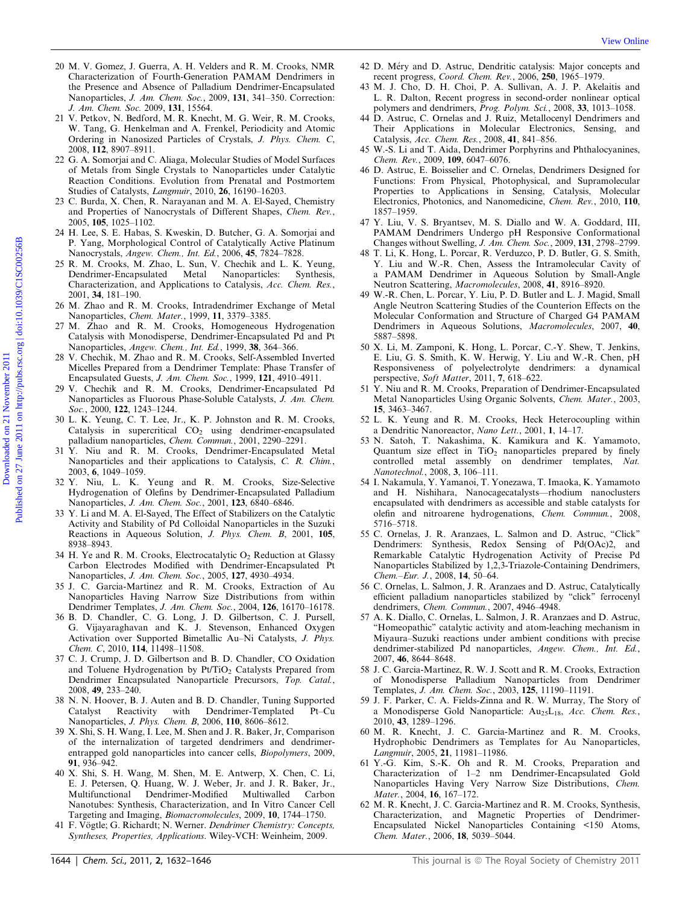- 20 M. V. Gomez, J. Guerra, A. H. Velders and R. M. Crooks, NMR Characterization of Fourth-Generation PAMAM Dendrimers in the Presence and Absence of Palladium Dendrimer-Encapsulated Nanoparticles, J. Am. Chem. Soc., 2009, 131, 341–350. Correction: J. Am. Chem. Soc. 2009, 131, 15564. DOWNLOAD Course, A.B. Vielons and R.A.C. Cooks, NMR (CD. Main and A.A.C. Cooks, Res. 2011 November 2011 On the Contemption of Figure 1, 2011 A.B. [View Online](http://dx.doi.org/10.1039/c1sc00256b) and Northern Course, Cooks, Res. 2011 A.B. View Online and Nort
	- 21 V. Petkov, N. Bedford, M. R. Knecht, M. G. Weir, R. M. Crooks, W. Tang, G. Henkelman and A. Frenkel, Periodicity and Atomic Ordering in Nanosized Particles of Crystals, J. Phys. Chem. C, 2008, 112, 8907–8911.
	- 22 G. A. Somorjai and C. Aliaga, Molecular Studies of Model Surfaces of Metals from Single Crystals to Nanoparticles under Catalytic Reaction Conditions. Evolution from Prenatal and Postmortem Studies of Catalysts, Langmuir, 2010, 26, 16190–16203.
	- 23 C. Burda, X. Chen, R. Narayanan and M. A. El-Sayed, Chemistry and Properties of Nanocrystals of Different Shapes, Chem. Rev., 2005, 105, 1025–1102.
	- 24 H. Lee, S. E. Habas, S. Kweskin, D. Butcher, G. A. Somorjai and P. Yang, Morphological Control of Catalytically Active Platinum Nanocrystals, Angew. Chem., Int. Ed., 2006, 45, 7824–7828.
	- 25 R. M. Crooks, M. Zhao, L. Sun, V. Chechik and L. K. Yeung, Dendrimer-Encapsulated Characterization, and Applications to Catalysis, Acc. Chem. Res., 2001, 34, 181–190.
	- 26 M. Zhao and R. M. Crooks, Intradendrimer Exchange of Metal Nanoparticles, Chem. Mater., 1999, 11, 3379–3385.
	- 27 M. Zhao and R. M. Crooks, Homogeneous Hydrogenation Catalysis with Monodisperse, Dendrimer-Encapsulated Pd and Pt Nanoparticles, Angew. Chem., Int. Ed., 1999, 38, 364-366.
	- 28 V. Chechik, M. Zhao and R. M. Crooks, Self-Assembled Inverted Micelles Prepared from a Dendrimer Template: Phase Transfer of Encapsulated Guests, J. Am. Chem. Soc., 1999, 121, 4910–4911.
	- 29 V. Chechik and R. M. Crooks, Dendrimer-Encapsulated Pd Nanoparticles as Fluorous Phase-Soluble Catalysts, J. Am. Chem. Soc., 2000, 122, 1243–1244.
	- 30 L. K. Yeung, C. T. Lee, Jr., K. P. Johnston and R. M. Crooks, Catalysis in supercritical  $CO<sub>2</sub>$  using dendrimer-encapsulated palladium nanoparticles, Chem. Commun., 2001, 2290–2291.
	- 31 Y. Niu and R. M. Crooks, Dendrimer-Encapsulated Metal Nanoparticles and their applications to Catalysis, C. R. Chim., 2003, 6, 1049–1059.
	- 32 Y. Niu, L. K. Yeung and R. M. Crooks, Size-Selective Hydrogenation of Olefins by Dendrimer-Encapsulated Palladium Nanoparticles, *J. Am. Chem. Soc.*, 2001, 123, 6840-6846.
	- 33 Y. Li and M. A. El-Sayed, The Effect of Stabilizers on the Catalytic Activity and Stability of Pd Colloidal Nanoparticles in the Suzuki Reactions in Aqueous Solution, J. Phys. Chem. B, 2001, 105, 8938–8943.
	- 34 H. Ye and R. M. Crooks, Electrocatalytic  $O<sub>2</sub>$  Reduction at Glassy Carbon Electrodes Modified with Dendrimer-Encapsulated Pt Nanoparticles, J. Am. Chem. Soc., 2005, 127, 4930–4934.
	- 35 J. C. Garcia-Martinez and R. M. Crooks, Extraction of Au Nanoparticles Having Narrow Size Distributions from within Dendrimer Templates, J. Am. Chem. Soc., 2004, 126, 16170–16178.
	- 36 B. D. Chandler, C. G. Long, J. D. Gilbertson, C. J. Pursell, G. Vijayaraghavan and K. J. Stevenson, Enhanced Oxygen Activation over Supported Bimetallic Au–Ni Catalysts, J. Phys. Chem. C, 2010, 114, 11498–11508.
	- 37 C. J. Crump, J. D. Gilbertson and B. D. Chandler, CO Oxidation and Toluene Hydrogenation by Pt/TiO<sub>2</sub> Catalysts Prepared from Dendrimer Encapsulated Nanoparticle Precursors, Top. Catal., 2008, 49, 233–240.
	- 38 N. N. Hoover, B. J. Auten and B. D. Chandler, Tuning Supported Catalyst Reactivity with Dendrimer-Templated Pt–Cu Nanoparticles, J. Phys. Chem. B, 2006, 110, 8606–8612.
	- 39 X. Shi, S. H. Wang, I. Lee, M. Shen and J. R. Baker, Jr, Comparison of the internalization of targeted dendrimers and dendrimerentrapped gold nanoparticles into cancer cells, Biopolymers, 2009, 91, 936–942.
	- 40 X. Shi, S. H. Wang, M. Shen, M. E. Antwerp, X. Chen, C. Li, E. J. Petersen, Q. Huang, W. J. Weber, Jr. and J. R. Baker, Jr., Multifunctional Dendrimer-Modified Multiwalled Carbon Nanotubes: Synthesis, Characterization, and In Vitro Cancer Cell Targeting and Imaging, Biomacromolecules, 2009, 10, 1744–1750.
	- 41 F. Vögtle; G. Richardt; N. Werner. Dendrimer Chemistry: Concepts, Syntheses, Properties, Applications. Wiley-VCH: Weinheim, 2009.
- 42 D. Méry and D. Astruc, Dendritic catalysis: Major concepts and recent progress, Coord. Chem. Rev., 2006, 250, 1965–1979.
- 43 M. J. Cho, D. H. Choi, P. A. Sullivan, A. J. P. Akelaitis and L. R. Dalton, Recent progress in second-order nonlinear optical polymers and dendrimers, Prog. Polym. Sci., 2008, 33, 1013–1058.
- 44 D. Astruc, C. Ornelas and J. Ruiz, Metallocenyl Dendrimers and Their Applications in Molecular Electronics, Sensing, and Catalysis, Acc. Chem. Res., 2008, 41, 841–856.
- 45 W.-S. Li and T. Aida, Dendrimer Porphyrins and Phthalocyanines, Chem. Rev., 2009, 109, 6047–6076.
- 46 D. Astruc, E. Boisselier and C. Ornelas, Dendrimers Designed for Functions: From Physical, Photophysical, and Supramolecular Properties to Applications in Sensing, Catalysis, Molecular Electronics, Photonics, and Nanomedicine, Chem. Rev., 2010, 110, 1857–1959.
- 47 Y. Liu, V. S. Bryantsev, M. S. Diallo and W. A. Goddard, III, PAMAM Dendrimers Undergo pH Responsive Conformational Changes without Swelling, J. Am. Chem. Soc., 2009, 131, 2798–2799.
- 48 T. Li, K. Hong, L. Porcar, R. Verduzco, P. D. Butler, G. S. Smith, Y. Liu and W.-R. Chen, Assess the Intramolecular Cavity of a PAMAM Dendrimer in Aqueous Solution by Small-Angle Neutron Scattering, Macromolecules, 2008, 41, 8916–8920.
- 49 W.-R. Chen, L. Porcar, Y. Liu, P. D. Butler and L. J. Magid, Small Angle Neutron Scattering Studies of the Counterion Effects on the Molecular Conformation and Structure of Charged G4 PAMAM Dendrimers in Aqueous Solutions, Macromolecules, 2007, 40, 5887–5898.
- 50 X. Li, M. Zamponi, K. Hong, L. Porcar, C.-Y. Shew, T. Jenkins, E. Liu, G. S. Smith, K. W. Herwig, Y. Liu and W.-R. Chen, pH Responsiveness of polyelectrolyte dendrimers: a dynamical perspective, Soft Matter, 2011, 7, 618–622.
- 51 Y. Niu and R. M. Crooks, Preparation of Dendrimer-Encapsulated Metal Nanoparticles Using Organic Solvents, Chem. Mater., 2003, 15, 3463–3467.
- 52 L. K. Yeung and R. M. Crooks, Heck Heterocoupling within a Dendritic Nanoreactor, Nano Lett., 2001, 1, 14–17.
- 53 N. Satoh, T. Nakashima, K. Kamikura and K. Yamamoto, Quantum size effect in  $TiO<sub>2</sub>$  nanoparticles prepared by finely controlled metal assembly on dendrimer templates, Nat. Nanotechnol., 2008, 3, 106–111.
- 54 I. Nakamula, Y. Yamanoi, T. Yonezawa, T. Imaoka, K. Yamamoto and H. Nishihara, Nanocagecatalysts—rhodium nanoclusters encapsulated with dendrimers as accessible and stable catalysts for olefin and nitroarene hydrogenations, Chem. Commun., 2008, 5716–5718.
- 55 C. Ornelas, J. R. Aranzaes, L. Salmon and D. Astruc, ''Click'' Dendrimers: Synthesis, Redox Sensing of Pd(OAc)2, and Remarkable Catalytic Hydrogenation Activity of Precise Pd Nanoparticles Stabilized by 1,2,3-Triazole-Containing Dendrimers, Chem.–Eur. J., 2008, 14, 50–64.
- 56 C. Ornelas, L. Salmon, J. R. Aranzaes and D. Astruc, Catalytically efficient palladium nanoparticles stabilized by ''click'' ferrocenyl dendrimers, Chem. Commun., 2007, 4946–4948.
- 57 A. K. Diallo, C. Ornelas, L. Salmon, J. R. Aranzaes and D. Astruc, ''Homeopathic'' catalytic activity and atom-leaching mechanism in Miyaura–Suzuki reactions under ambient conditions with precise dendrimer-stabilized Pd nanoparticles, Angew. Chem., Int. Ed., 2007, 46, 8644–8648.
- 58 J. C. Garcia-Martinez, R. W. J. Scott and R. M. Crooks, Extraction of Monodisperse Palladium Nanoparticles from Dendrimer Templates, J. Am. Chem. Soc., 2003, 125, 11190–11191.
- 59 J. F. Parker, C. A. Fields-Zinna and R. W. Murray, The Story of a Monodisperse Gold Nanoparticle: Au<sub>25</sub>L<sub>18</sub>, Acc. Chem. Res., 2010, 43, 1289–1296.
- 60 M. R. Knecht, J. C. Garcia-Martinez and R. M. Crooks, Hydrophobic Dendrimers as Templates for Au Nanoparticles, Langmuir, 2005, 21, 11981–11986.
- 61 Y.-G. Kim, S.-K. Oh and R. M. Crooks, Preparation and Characterization of 1–2 nm Dendrimer-Encapsulated Gold Nanoparticles Having Very Narrow Size Distributions, Chem. Mater., 2004, 16, 167-172.
- 62 M. R. Knecht, J. C. Garcia-Martinez and R. M. Crooks, Synthesis, Characterization, and Magnetic Properties of Dendrimer-Encapsulated Nickel Nanoparticles Containing <150 Atoms, Chem. Mater., 2006, 18, 5039–5044.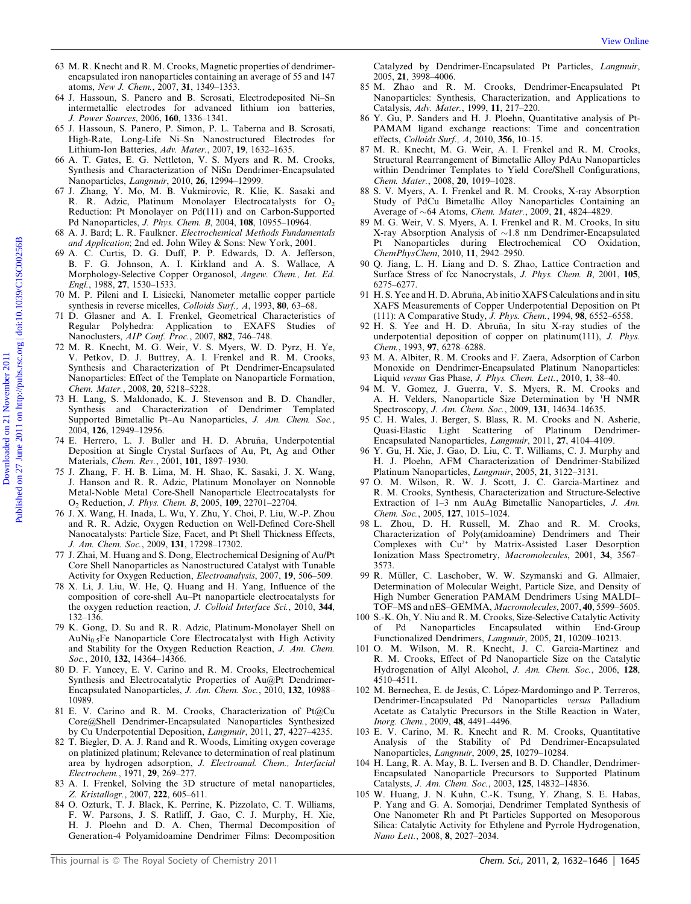- 63 M. R. Knecht and R. M. Crooks, Magnetic properties of dendrimerencapsulated iron nanoparticles containing an average of 55 and 147 atoms, New J. Chem., 2007, 31, 1349–1353.
- 64 J. Hassoun, S. Panero and B. Scrosati, Electrodeposited Ni–Sn intermetallic electrodes for advanced lithium ion batteries, J. Power Sources, 2006, 160, 1336–1341.
- 65 J. Hassoun, S. Panero, P. Simon, P. L. Taberna and B. Scrosati, High-Rate, Long-Life Ni–Sn Nanostructured Electrodes for Lithium-Ion Batteries, Adv. Mater., 2007, 19, 1632–1635.
- 66 A. T. Gates, E. G. Nettleton, V. S. Myers and R. M. Crooks, Synthesis and Characterization of NiSn Dendrimer-Encapsulated Nanoparticles, Langmuir, 2010, 26, 12994–12999.
- 67 J. Zhang, Y. Mo, M. B. Vukmirovic, R. Klie, K. Sasaki and R. R. Adzic, Platinum Monolayer Electrocatalysts for  $O_2$ Reduction: Pt Monolayer on Pd(111) and on Carbon-Supported Pd Nanoparticles, J. Phys. Chem. B, 2004, 108, 10955–10964.
- 68 A. J. Bard; L. R. Faulkner. Electrochemical Methods Fundamentals and Application; 2nd ed. John Wiley & Sons: New York, 2001.
- 69 A. C. Curtis, D. G. Duff, P. P. Edwards, D. A. Jefferson, B. F. G. Johnson, A. I. Kirkland and A. S. Wallace, A Morphology-Selective Copper Organosol, Angew. Chem., Int. Ed. Engl., 1988, 27, 1530–1533.
- 70 M. P. Pileni and I. Lisiecki, Nanometer metallic copper particle synthesis in reverse micelles, Colloids Surf., A, 1993, 80, 63-68.
- 71 D. Glasner and A. I. Frenkel, Geometrical Characteristics of Regular Polyhedra: Application to EXAFS Studies of Nanoclusters, AIP Conf. Proc., 2007, 882, 746–748.
- 72 M. R. Knecht, M. G. Weir, V. S. Myers, W. D. Pyrz, H. Ye, V. Petkov, D. J. Buttrey, A. I. Frenkel and R. M. Crooks, Synthesis and Characterization of Pt Dendrimer-Encapsulated Nanoparticles: Effect of the Template on Nanoparticle Formation, Chem. Mater., 2008, 20, 5218–5228. On External Representation (i.e., and the second of the second of the second of the second of the second of the second of the second of the second of the second of the second of the second of the second of the second of t
	- 73 H. Lang, S. Maldonado, K. J. Stevenson and B. D. Chandler, Synthesis and Characterization of Dendrimer Templated Supported Bimetallic Pt–Au Nanoparticles, J. Am. Chem. Soc., 2004, 126, 12949–12956.
	- 74 E. Herrero, L. J. Buller and H. D. Abruna, Underpotential ~ Deposition at Single Crystal Surfaces of Au, Pt, Ag and Other Materials, Chem. Rev., 2001, 101, 1897–1930.
	- 75 J. Zhang, F. H. B. Lima, M. H. Shao, K. Sasaki, J. X. Wang, J. Hanson and R. R. Adzic, Platinum Monolayer on Nonnoble Metal-Noble Metal Core-Shell Nanoparticle Electrocatalysts for O2 Reduction, J. Phys. Chem. B, 2005, 109, 22701–22704.
	- 76 J. X. Wang, H. Inada, L. Wu, Y. Zhu, Y. Choi, P. Liu, W.-P. Zhou and R. R. Adzic, Oxygen Reduction on Well-Defined Core-Shell Nanocatalysts: Particle Size, Facet, and Pt Shell Thickness Effects, J. Am. Chem. Soc., 2009, 131, 17298–17302.
	- 77 J. Zhai, M. Huang and S. Dong, Electrochemical Designing of Au/Pt Core Shell Nanoparticles as Nanostructured Catalyst with Tunable Activity for Oxygen Reduction, Electroanalysis, 2007, 19, 506–509.
	- 78 X. Li, J. Liu, W. He, Q. Huang and H. Yang, Influence of the composition of core-shell Au–Pt nanoparticle electrocatalysts for the oxygen reduction reaction, *J. Colloid Interface Sci.*, 2010, 344, 132–136.
	- 79 K. Gong, D. Su and R. R. Adzic, Platinum-Monolayer Shell on  $AuNi<sub>0.5</sub>Fe$  Nanoparticle Core Electrocatalyst with High Activity and Stability for the Oxygen Reduction Reaction, J. Am. Chem. Soc., 2010, 132, 14364-14366.
	- 80 D. F. Yancey, E. V. Carino and R. M. Crooks, Electrochemical Synthesis and Electrocatalytic Properties of Au@Pt Dendrimer-Encapsulated Nanoparticles, J. Am. Chem. Soc., 2010, 132, 10988– 10989.
	- 81 E. V. Carino and R. M. Crooks, Characterization of Pt@Cu Core@Shell Dendrimer-Encapsulated Nanoparticles Synthesized by Cu Underpotential Deposition, Langmuir, 2011, 27, 4227–4235.
	- 82 T. Biegler, D. A. J. Rand and R. Woods, Limiting oxygen coverage on platinized platinum; Relevance to determination of real platinum area by hydrogen adsorption, J. Electroanal. Chem., Interfacial Electrochem., 1971, 29, 269–277.
	- 83 A. I. Frenkel, Solving the 3D structure of metal nanoparticles, Z. Kristallogr., 2007, 222, 605–611.
	- 84 O. Ozturk, T. J. Black, K. Perrine, K. Pizzolato, C. T. Williams, F. W. Parsons, J. S. Ratliff, J. Gao, C. J. Murphy, H. Xie, H. J. Ploehn and D. A. Chen, Thermal Decomposition of Generation-4 Polyamidoamine Dendrimer Films: Decomposition

Catalyzed by Dendrimer-Encapsulated Pt Particles, Langmuir, 2005, 21, 3998–4006.

- 85 M. Zhao and R. M. Crooks, Dendrimer-Encapsulated Pt Nanoparticles: Synthesis, Characterization, and Applications to Catalysis, Adv. Mater., 1999, 11, 217–220.
- 86 Y. Gu, P. Sanders and H. J. Ploehn, Quantitative analysis of Pt-PAMAM ligand exchange reactions: Time and concentration effects, Colloids Surf., A, 2010, 356, 10–15.
- 87 M. R. Knecht, M. G. Weir, A. I. Frenkel and R. M. Crooks, Structural Rearrangement of Bimetallic Alloy PdAu Nanoparticles within Dendrimer Templates to Yield Core/Shell Configurations, Chem. Mater., 2008, 20, 1019–1028.
- 88 S. V. Myers, A. I. Frenkel and R. M. Crooks, X-ray Absorption Study of PdCu Bimetallic Alloy Nanoparticles Containing an Average of  $~64$  Atoms, *Chem. Mater.*, 2009, 21, 4824-4829.
- 89 M. G. Weir, V. S. Myers, A. I. Frenkel and R. M. Crooks, In situ X-ray Absorption Analysis of  $\sim$ 1.8 nm Dendrimer-Encapsulated Pt Nanoparticles during Electrochemical CO Oxidation, ChemPhysChem, 2010, 11, 2942–2950.
- 90 Q. Jiang, L. H. Liang and D. S. Zhao, Lattice Contraction and Surface Stress of fcc Nanocrystals, J. Phys. Chem. B, 2001, 105, 6275–6277.
- 91 H. S. Yee and H. D. Abruña, Ab initio XAFS Calculations and in situ XAFS Measurements of Copper Underpotential Deposition on Pt (111): A Comparative Study, J. Phys. Chem., 1994, 98, 6552–6558.
- 92 H. S. Yee and H. D. Abruña, In situ X-ray studies of the underpotential deposition of copper on platinum(111), J. Phys. Chem., 1993, 97, 6278–6288.
- 93 M. A. Albiter, R. M. Crooks and F. Zaera, Adsorption of Carbon Monoxide on Dendrimer-Encapsulated Platinum Nanoparticles: Liquid versus Gas Phase, J. Phys. Chem. Lett., 2010, 1, 38–40.
- 94 M. V. Gomez, J. Guerra, V. S. Myers, R. M. Crooks and A. H. Velders, Nanoparticle Size Determination by <sup>1</sup> H NMR Spectroscopy, J. Am. Chem. Soc., 2009, 131, 14634–14635.
- 95 C. H. Wales, J. Berger, S. Blass, R. M. Crooks and N. Asherie, Quasi-Elastic Light Scattering of Platinum Dendrimer-Encapsulated Nanoparticles, Langmuir, 2011, 27, 4104–4109.
- 96 Y. Gu, H. Xie, J. Gao, D. Liu, C. T. Williams, C. J. Murphy and H. J. Ploehn, AFM Characterization of Dendrimer-Stabilized Platinum Nanoparticles, Langmuir, 2005, 21, 3122–3131.
- 97 O. M. Wilson, R. W. J. Scott, J. C. Garcia-Martinez and R. M. Crooks, Synthesis, Characterization and Structure-Selective Extraction of 1–3 nm AuAg Bimetallic Nanoparticles, J. Am. Chem. Soc., 2005, 127, 1015–1024.
- 98 L. Zhou, D. H. Russell, M. Zhao and R. M. Crooks, Characterization of Poly(amidoamine) Dendrimers and Their Complexes with Cu<sup>2+</sup> by Matrix-Assisted Laser Desorption Ionization Mass Spectrometry, Macromolecules, 2001, 34, 3567– 3573.
- 99 R. Müller, C. Laschober, W. W. Szymanski and G. Allmaier, Determination of Molecular Weight, Particle Size, and Density of High Number Generation PAMAM Dendrimers Using MALDI– TOF–MS and nES–GEMMA, Macromolecules, 2007, 40, 5599–5605.
- 100 S.-K. Oh, Y. Niu and R. M. Crooks, Size-Selective Catalytic Activity of Pd Nanoparticles Encapsulated within End-Group Functionalized Dendrimers, Langmuir, 2005, 21, 10209–10213.
- 101 O. M. Wilson, M. R. Knecht, J. C. Garcia-Martinez and R. M. Crooks, Effect of Pd Nanoparticle Size on the Catalytic Hydrogenation of Allyl Alcohol, J. Am. Chem. Soc., 2006, 128, 4510–4511.
- 102 M. Bernechea, E. de Jesús, C. López-Mardomingo and P. Terreros, Dendrimer-Encapsulated Pd Nanoparticles versus Palladium Acetate as Catalytic Precursors in the Stille Reaction in Water, Inorg. Chem., 2009, 48, 4491–4496.
- 103 E. V. Carino, M. R. Knecht and R. M. Crooks, Quantitative Analysis of the Stability of Pd Dendrimer-Encapsulated Nanoparticles, Langmuir, 2009, 25, 10279–10284.
- 104 H. Lang, R. A. May, B. L. Iversen and B. D. Chandler, Dendrimer-Encapsulated Nanoparticle Precursors to Supported Platinum Catalysts, J. Am. Chem. Soc., 2003, 125, 14832–14836.
- 105 W. Huang, J. N. Kuhn, C.-K. Tsung, Y. Zhang, S. E. Habas, P. Yang and G. A. Somorjai, Dendrimer Templated Synthesis of One Nanometer Rh and Pt Particles Supported on Mesoporous Silica: Catalytic Activity for Ethylene and Pyrrole Hydrogenation, Nano Lett., 2008, 8, 2027–2034.